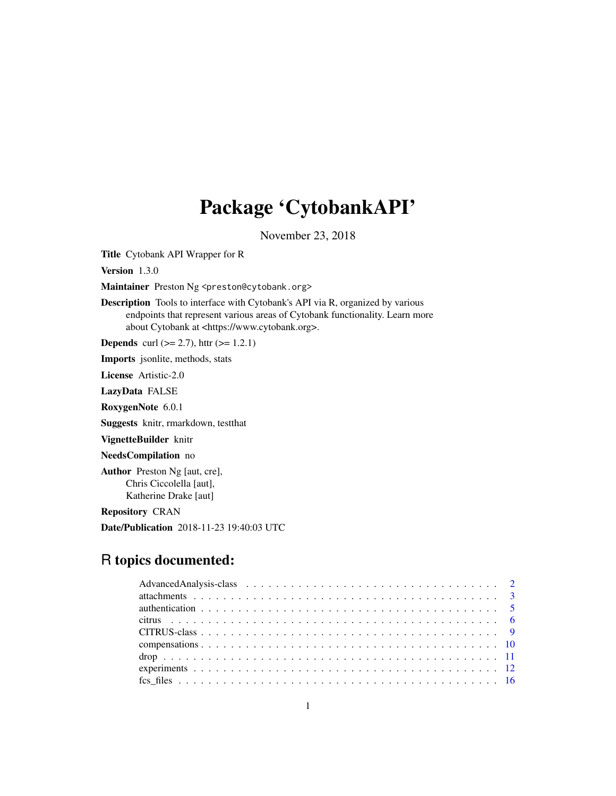## Package 'CytobankAPI'

November 23, 2018

Title Cytobank API Wrapper for R

Version 1.3.0

Maintainer Preston Ng <preston@cytobank.org>

Description Tools to interface with Cytobank's API via R, organized by various endpoints that represent various areas of Cytobank functionality. Learn more about Cytobank at <https://www.cytobank.org>.

**Depends** curl ( $>= 2.7$ ), httr ( $>= 1.2.1$ )

Imports jsonlite, methods, stats

License Artistic-2.0

LazyData FALSE

RoxygenNote 6.0.1

Suggests knitr, rmarkdown, testthat

VignetteBuilder knitr

NeedsCompilation no

Author Preston Ng [aut, cre], Chris Ciccolella [aut], Katherine Drake [aut]

Repository CRAN

Date/Publication 2018-11-23 19:40:03 UTC

### R topics documented: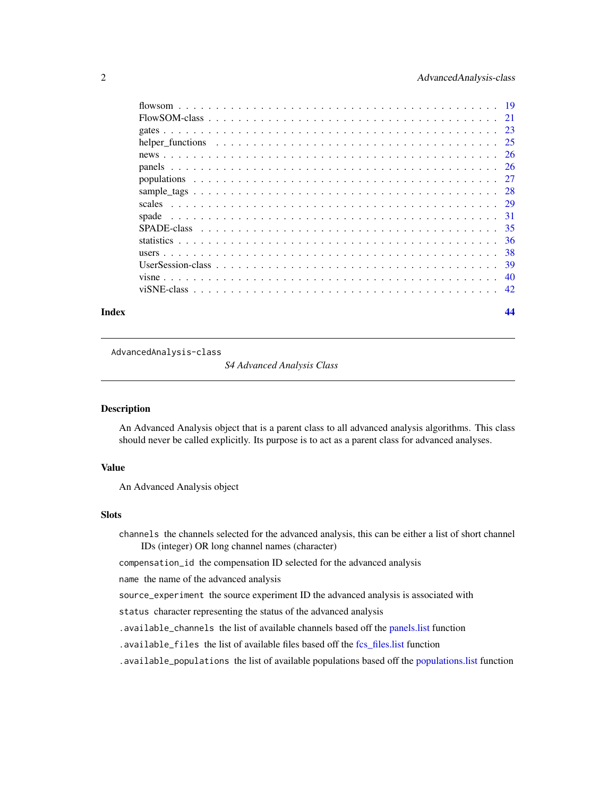<span id="page-1-0"></span>

| Index | 44 |
|-------|----|
|       |    |
|       |    |
|       |    |
|       |    |
|       |    |
|       |    |
|       |    |
|       |    |
|       |    |
|       |    |
|       |    |
|       |    |
|       |    |
|       |    |
|       |    |
|       |    |

AdvancedAnalysis-class

*S4 Advanced Analysis Class*

### Description

An Advanced Analysis object that is a parent class to all advanced analysis algorithms. This class should never be called explicitly. Its purpose is to act as a parent class for advanced analyses.

### Value

An Advanced Analysis object

#### Slots

- channels the channels selected for the advanced analysis, this can be either a list of short channel IDs (integer) OR long channel names (character)
- compensation\_id the compensation ID selected for the advanced analysis

name the name of the advanced analysis

source\_experiment the source experiment ID the advanced analysis is associated with

status character representing the status of the advanced analysis

.available\_channels the list of available channels based off the [panels.list](#page-25-1) function

.available\_files the list of available files based off the [fcs\\_files.list](#page-15-1) function

.available\_populations the list of available populations based off the [populations.list](#page-26-1) function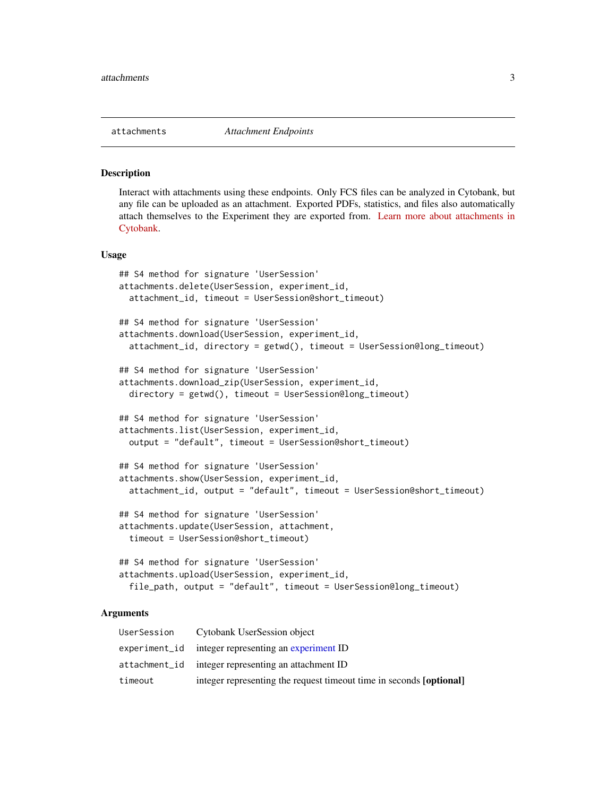<span id="page-2-1"></span><span id="page-2-0"></span>

#### Description

Interact with attachments using these endpoints. Only FCS files can be analyzed in Cytobank, but any file can be uploaded as an attachment. Exported PDFs, statistics, and files also automatically attach themselves to the Experiment they are exported from. [Learn more about attachments in](https://support.cytobank.org/hc/en-us/articles/206145297-Any-type-of-data-can-be-uploaded-and-stored-in-Cytobank) [Cytobank.](https://support.cytobank.org/hc/en-us/articles/206145297-Any-type-of-data-can-be-uploaded-and-stored-in-Cytobank)

#### Usage

```
## S4 method for signature 'UserSession'
attachments.delete(UserSession, experiment_id,
  attachment_id, timeout = UserSession@short_timeout)
## S4 method for signature 'UserSession'
attachments.download(UserSession, experiment_id,
  attachment_id, directory = getwd(), timeout = UserSession@long_timeout)
## S4 method for signature 'UserSession'
attachments.download_zip(UserSession, experiment_id,
 directory = getwd(), timeout = UserSession@long_timeout)
## S4 method for signature 'UserSession'
attachments.list(UserSession, experiment_id,
  output = "default", timeout = UserSession@short_timeout)
## S4 method for signature 'UserSession'
attachments.show(UserSession, experiment_id,
  attachment_id, output = "default", timeout = UserSession@short_timeout)
## S4 method for signature 'UserSession'
attachments.update(UserSession, attachment,
  timeout = UserSession@short_timeout)
## S4 method for signature 'UserSession'
attachments.upload(UserSession, experiment_id,
  file_path, output = "default", timeout = UserSession@long_timeout)
```
#### Arguments

| UserSession | Cytobank UserSession object                                          |
|-------------|----------------------------------------------------------------------|
|             | experiment_id integer representing an experiment ID                  |
|             | attachment_id integer representing an attachment ID                  |
| timeout     | integer representing the request time out time in seconds [optional] |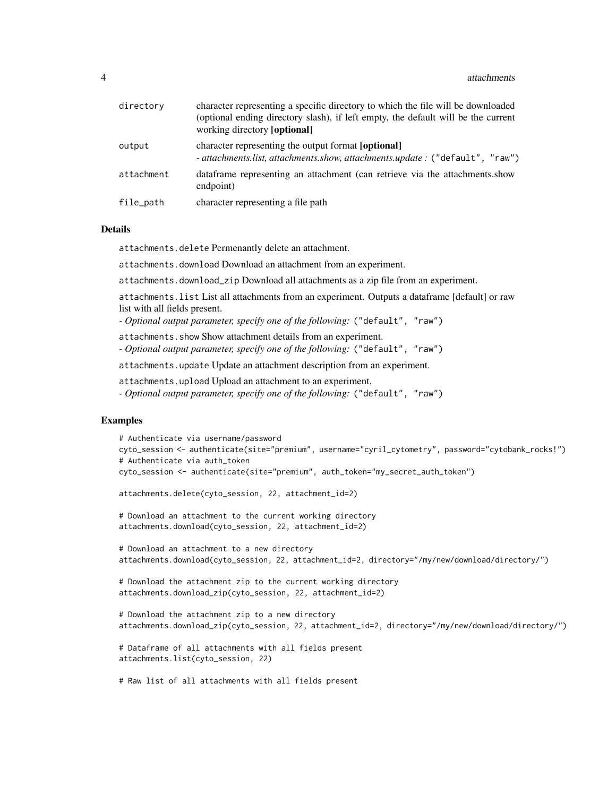| directory  | character representing a specific directory to which the file will be downloaded<br>(optional ending directory slash), if left empty, the default will be the current<br>working directory <b>[optional]</b> |
|------------|--------------------------------------------------------------------------------------------------------------------------------------------------------------------------------------------------------------|
| output     | character representing the output format [optional]<br>- attachments.list, attachments.show, attachments.update: ("default", "raw")                                                                          |
| attachment | dataframe representing an attachment (can retrieve via the attachments.show<br>endpoint)                                                                                                                     |
| file_path  | character representing a file path                                                                                                                                                                           |

#### Details

attachments.delete Permenantly delete an attachment.

attachments.download Download an attachment from an experiment.

attachments.download\_zip Download all attachments as a zip file from an experiment.

attachments.list List all attachments from an experiment. Outputs a dataframe [default] or raw list with all fields present.

*- Optional output parameter, specify one of the following:* ("default", "raw")

attachments.show Show attachment details from an experiment.

*- Optional output parameter, specify one of the following:* ("default", "raw")

attachments.update Update an attachment description from an experiment.

attachments.upload Upload an attachment to an experiment.

*- Optional output parameter, specify one of the following:* ("default", "raw")

#### Examples

```
# Authenticate via username/password
cyto_session <- authenticate(site="premium", username="cyril_cytometry", password="cytobank_rocks!")
# Authenticate via auth_token
cyto_session <- authenticate(site="premium", auth_token="my_secret_auth_token")
attachments.delete(cyto_session, 22, attachment_id=2)
# Download an attachment to the current working directory
attachments.download(cyto_session, 22, attachment_id=2)
# Download an attachment to a new directory
attachments.download(cyto_session, 22, attachment_id=2, directory="/my/new/download/directory/")
# Download the attachment zip to the current working directory
attachments.download_zip(cyto_session, 22, attachment_id=2)
# Download the attachment zip to a new directory
attachments.download_zip(cyto_session, 22, attachment_id=2, directory="/my/new/download/directory/")
# Dataframe of all attachments with all fields present
attachments.list(cyto_session, 22)
# Raw list of all attachments with all fields present
```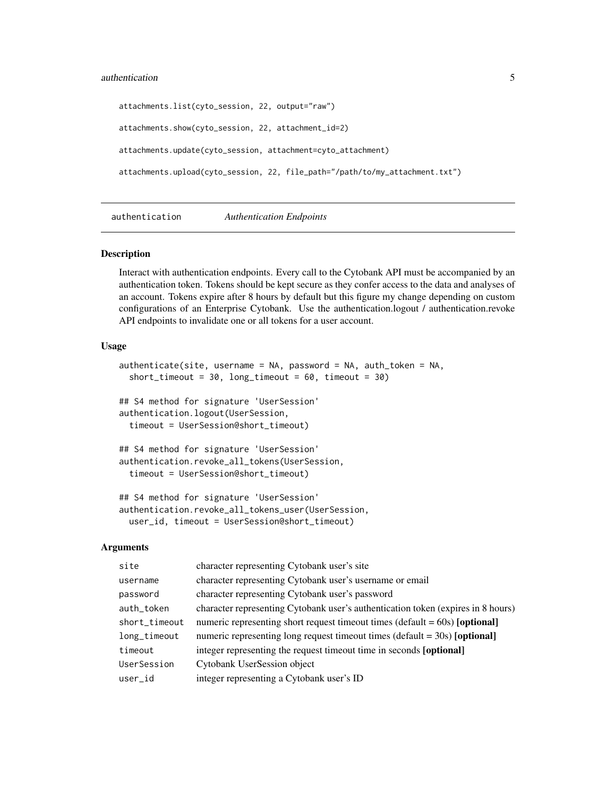#### <span id="page-4-0"></span>authentication 5

```
attachments.list(cyto_session, 22, output="raw")
attachments.show(cyto_session, 22, attachment_id=2)
attachments.update(cyto_session, attachment=cyto_attachment)
attachments.upload(cyto_session, 22, file_path="/path/to/my_attachment.txt")
```
authentication *Authentication Endpoints*

#### <span id="page-4-1"></span>Description

Interact with authentication endpoints. Every call to the Cytobank API must be accompanied by an authentication token. Tokens should be kept secure as they confer access to the data and analyses of an account. Tokens expire after 8 hours by default but this figure my change depending on custom configurations of an Enterprise Cytobank. Use the authentication.logout / authentication.revoke API endpoints to invalidate one or all tokens for a user account.

#### Usage

```
authenticate(site, username = NA, password = NA, auth_token = NA,
  short_timeout = 30, long_timeout = 60, timeout = 30)
## S4 method for signature 'UserSession'
authentication.logout(UserSession,
  timeout = UserSession@short_timeout)
## S4 method for signature 'UserSession'
authentication.revoke_all_tokens(UserSession,
  timeout = UserSession@short_timeout)
```

```
## S4 method for signature 'UserSession'
authentication.revoke_all_tokens_user(UserSession,
 user_id, timeout = UserSession@short_timeout)
```
#### Arguments

| site          | character representing Cytobank user's site                                                   |
|---------------|-----------------------------------------------------------------------------------------------|
| username      | character representing Cytobank user's username or email                                      |
| password      | character representing Cytobank user's password                                               |
| auth_token    | character representing Cytobank user's authentication token (expires in 8 hours)              |
| short_timeout | numeric representing short request timeout times ( $\text{default} = 60\text{s}$ ) [optional] |
| long_timeout  | numeric representing long request timeout times ( $\text{default} = 30\text{s}$ ) [optional]  |
| timeout       | integer representing the request timeout time in seconds [optional]                           |
| UserSession   | Cytobank UserSession object                                                                   |
| user_id       | integer representing a Cytobank user's ID                                                     |
|               |                                                                                               |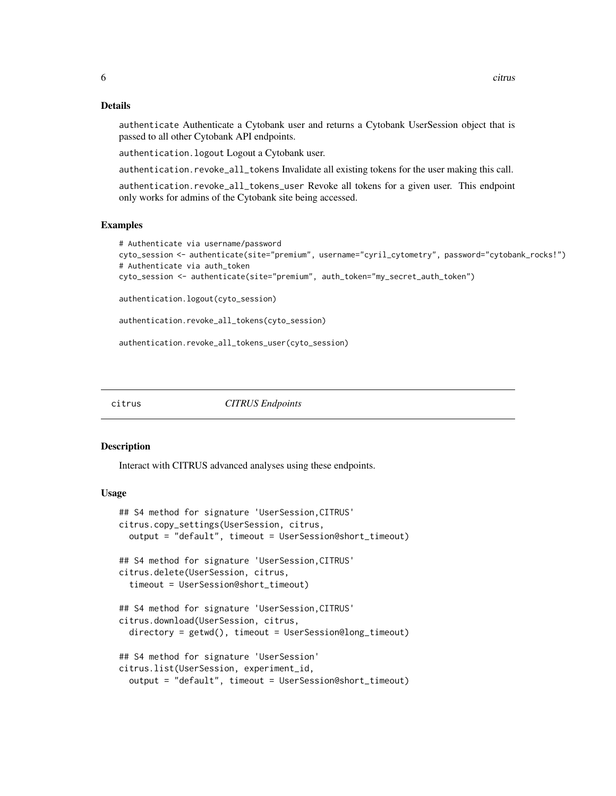#### Details

authenticate Authenticate a Cytobank user and returns a Cytobank UserSession object that is passed to all other Cytobank API endpoints.

authentication.logout Logout a Cytobank user.

authentication.revoke\_all\_tokens Invalidate all existing tokens for the user making this call.

authentication.revoke\_all\_tokens\_user Revoke all tokens for a given user. This endpoint only works for admins of the Cytobank site being accessed.

#### Examples

```
# Authenticate via username/password
cyto_session <- authenticate(site="premium", username="cyril_cytometry", password="cytobank_rocks!")
# Authenticate via auth_token
cyto_session <- authenticate(site="premium", auth_token="my_secret_auth_token")
authentication.logout(cyto_session)
authentication.revoke_all_tokens(cyto_session)
authentication.revoke_all_tokens_user(cyto_session)
```
<span id="page-5-2"></span>citrus *CITRUS Endpoints*

#### <span id="page-5-1"></span>Description

Interact with CITRUS advanced analyses using these endpoints.

#### Usage

```
## S4 method for signature 'UserSession,CITRUS'
citrus.copy_settings(UserSession, citrus,
  output = "default", timeout = UserSession@short_timeout)
## S4 method for signature 'UserSession,CITRUS'
citrus.delete(UserSession, citrus,
  timeout = UserSession@short_timeout)
## S4 method for signature 'UserSession,CITRUS'
citrus.download(UserSession, citrus,
  directory = getwd(), timeout = UserSession@long_timeout)
## S4 method for signature 'UserSession'
citrus.list(UserSession, experiment_id,
 output = "default", timeout = UserSession@short_timeout)
```
<span id="page-5-0"></span>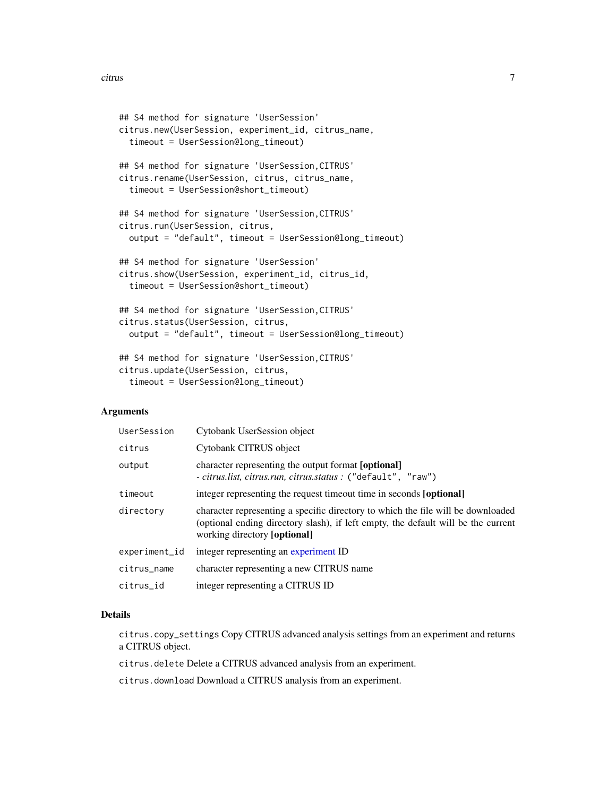```
## S4 method for signature 'UserSession'
citrus.new(UserSession, experiment_id, citrus_name,
  timeout = UserSession@long_timeout)
## S4 method for signature 'UserSession,CITRUS'
citrus.rename(UserSession, citrus, citrus_name,
  timeout = UserSession@short_timeout)
## S4 method for signature 'UserSession,CITRUS'
citrus.run(UserSession, citrus,
  output = "default", timeout = UserSession@long_timeout)
## S4 method for signature 'UserSession'
citrus.show(UserSession, experiment_id, citrus_id,
  timeout = UserSession@short_timeout)
## S4 method for signature 'UserSession,CITRUS'
citrus.status(UserSession, citrus,
  output = "default", timeout = UserSession@long_timeout)
## S4 method for signature 'UserSession,CITRUS'
citrus.update(UserSession, citrus,
  timeout = UserSession@long_timeout)
```
#### Arguments

| UserSession   | Cytobank UserSession object                                                                                                                                                                           |
|---------------|-------------------------------------------------------------------------------------------------------------------------------------------------------------------------------------------------------|
| citrus        | Cytobank CITRUS object                                                                                                                                                                                |
| output        | character representing the output format [optional]<br>- citrus.list, citrus.run, citrus.status : ("default", "raw")                                                                                  |
| timeout       | integer representing the request time out time in seconds [optional]                                                                                                                                  |
| directory     | character representing a specific directory to which the file will be downloaded<br>(optional ending directory slash), if left empty, the default will be the current<br>working directory [optional] |
| experiment_id | integer representing an experiment ID                                                                                                                                                                 |
| citrus_name   | character representing a new CITRUS name                                                                                                                                                              |
| citrus_id     | integer representing a CITRUS ID                                                                                                                                                                      |

#### Details

citrus.copy\_settings Copy CITRUS advanced analysis settings from an experiment and returns a CITRUS object.

citrus.delete Delete a CITRUS advanced analysis from an experiment.

citrus.download Download a CITRUS analysis from an experiment.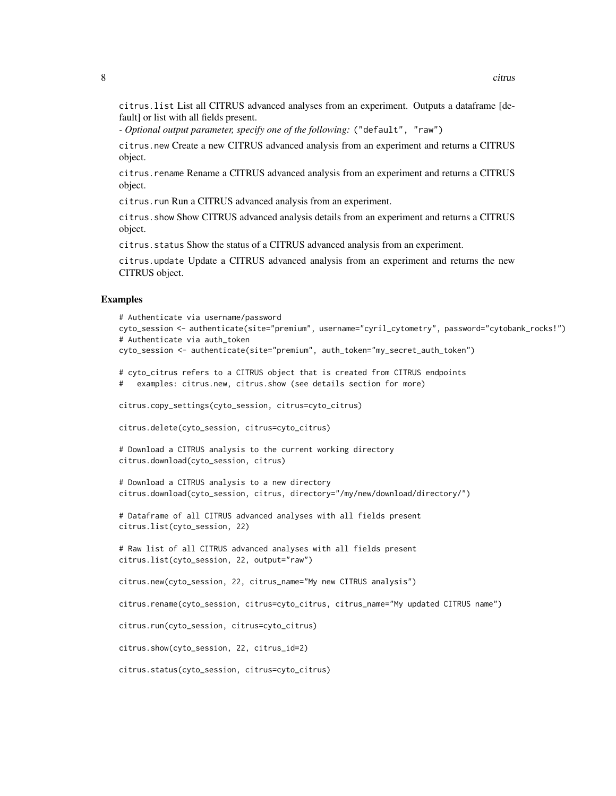citrus.list List all CITRUS advanced analyses from an experiment. Outputs a dataframe [default] or list with all fields present.

*- Optional output parameter, specify one of the following:* ("default", "raw")

citrus.new Create a new CITRUS advanced analysis from an experiment and returns a CITRUS object.

citrus.rename Rename a CITRUS advanced analysis from an experiment and returns a CITRUS object.

citrus.run Run a CITRUS advanced analysis from an experiment.

citrus.show Show CITRUS advanced analysis details from an experiment and returns a CITRUS object.

citrus.status Show the status of a CITRUS advanced analysis from an experiment.

citrus.update Update a CITRUS advanced analysis from an experiment and returns the new CITRUS object.

#### Examples

```
# Authenticate via username/password
cyto_session <- authenticate(site="premium", username="cyril_cytometry", password="cytobank_rocks!")
# Authenticate via auth_token
cyto_session <- authenticate(site="premium", auth_token="my_secret_auth_token")
# cyto_citrus refers to a CITRUS object that is created from CITRUS endpoints
# examples: citrus.new, citrus.show (see details section for more)
citrus.copy_settings(cyto_session, citrus=cyto_citrus)
citrus.delete(cyto_session, citrus=cyto_citrus)
# Download a CITRUS analysis to the current working directory
citrus.download(cyto_session, citrus)
# Download a CITRUS analysis to a new directory
citrus.download(cyto_session, citrus, directory="/my/new/download/directory/")
# Dataframe of all CITRUS advanced analyses with all fields present
citrus.list(cyto_session, 22)
# Raw list of all CITRUS advanced analyses with all fields present
citrus.list(cyto_session, 22, output="raw")
citrus.new(cyto_session, 22, citrus_name="My new CITRUS analysis")
citrus.rename(cyto_session, citrus=cyto_citrus, citrus_name="My updated CITRUS name")
citrus.run(cyto_session, citrus=cyto_citrus)
citrus.show(cyto_session, 22, citrus_id=2)
citrus.status(cyto_session, citrus=cyto_citrus)
```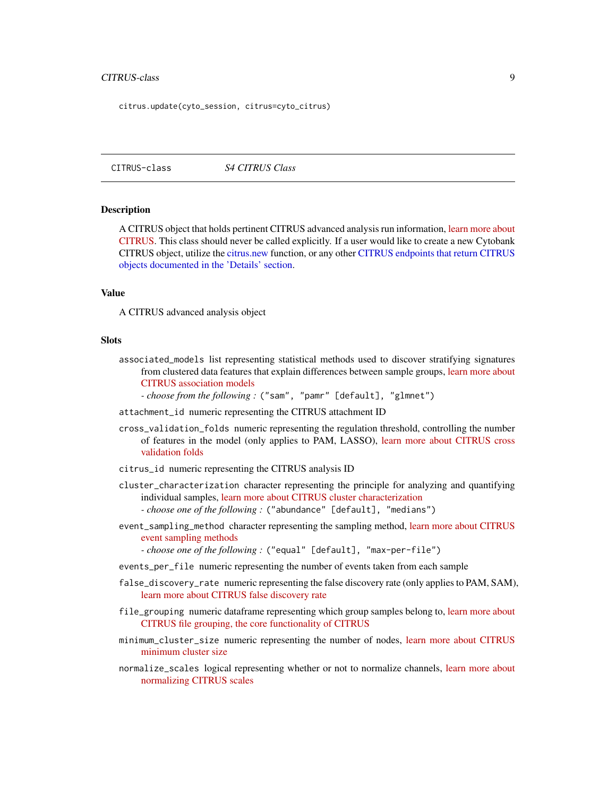#### <span id="page-8-0"></span>CITRUS-class 9

citrus.update(cyto\_session, citrus=cyto\_citrus)

CITRUS-class *S4 CITRUS Class*

#### Description

A CITRUS object that holds pertinent CITRUS advanced analysis run information, [learn more about](https://support.cytobank.org/hc/en-us/articles/226940667-Overview-of-CITRUS) [CITRUS.](https://support.cytobank.org/hc/en-us/articles/226940667-Overview-of-CITRUS) This class should never be called explicitly. If a user would like to create a new Cytobank CITRUS object, utilize the [citrus.new](#page-5-1) function, or any other [CITRUS endpoints that return CITRUS](#page-5-2) [objects documented in the 'Details' section.](#page-5-2)

#### Value

A CITRUS advanced analysis object

#### **Slots**

associated\_models list representing statistical methods used to discover stratifying signatures from clustered data features that explain differences between sample groups, [learn more about](https://support.cytobank.org/hc/en-us/articles/226678087-How-to-Configure-and-Run-a-CITRUS-Analysis#Association_Models) [CITRUS association models](https://support.cytobank.org/hc/en-us/articles/226678087-How-to-Configure-and-Run-a-CITRUS-Analysis#Association_Models)

*- choose from the following :* ("sam", "pamr" [default], "glmnet")

- attachment\_id numeric representing the CITRUS attachment ID
- cross\_validation\_folds numeric representing the regulation threshold, controlling the number of features in the model (only applies to PAM, LASSO), [learn more about CITRUS cross](https://support.cytobank.org/hc/en-us/articles/226678087-How-to-Configure-and-Run-a-CITRUS-Analysis#cross_validation_fold) [validation folds](https://support.cytobank.org/hc/en-us/articles/226678087-How-to-Configure-and-Run-a-CITRUS-Analysis#cross_validation_fold)
- citrus\_id numeric representing the CITRUS analysis ID
- cluster\_characterization character representing the principle for analyzing and quantifying individual samples, [learn more about CITRUS cluster characterization](https://support.cytobank.org/hc/en-us/articles/226678087-How-to-Configure-and-Run-a-CITRUS-Analysis#Cluster_Characterization)
	- *choose one of the following :* ("abundance" [default], "medians")
- event\_sampling\_method character representing the sampling method, [learn more about CITRUS](https://support.cytobank.org/hc/en-us/articles/226678087-How-to-Configure-and-Run-a-CITRUS-Analysis#Event_Sampling) [event sampling methods](https://support.cytobank.org/hc/en-us/articles/226678087-How-to-Configure-and-Run-a-CITRUS-Analysis#Event_Sampling)
	- *choose one of the following :* ("equal" [default], "max-per-file")
- events\_per\_file numeric representing the number of events taken from each sample
- false\_discovery\_rate numeric representing the false discovery rate (only applies to PAM, SAM), [learn more about CITRUS false discovery rate](https://support.cytobank.org/hc/en-us/articles/226678087-How-to-Configure-and-Run-a-CITRUS-Analysis#False_Discovery_Rate_(FDR))
- file\_grouping numeric dataframe representing which group samples belong to, [learn more about](https://support.cytobank.org/hc/en-us/articles/226678087-How-to-Configure-and-Run-a-CITRUS-Analysis#Assigning_Sample_Groups) [CITRUS file grouping, the core functionality of CITRUS](https://support.cytobank.org/hc/en-us/articles/226678087-How-to-Configure-and-Run-a-CITRUS-Analysis#Assigning_Sample_Groups)
- minimum\_cluster\_size numeric representing the number of nodes, [learn more about CITRUS](https://support.cytobank.org/hc/en-us/articles/226678087-How-to-Configure-and-Run-a-CITRUS-Analysis#Minimum_Cluster_Size) [minimum cluster size](https://support.cytobank.org/hc/en-us/articles/226678087-How-to-Configure-and-Run-a-CITRUS-Analysis#Minimum_Cluster_Size)
- normalize\_scales logical representing whether or not to normalize channels, [learn more about](https://support.cytobank.org/hc/en-us/articles/226678087-How-to-Configure-and-Run-a-CITRUS-Analysis#Normalize_Scales) [normalizing CITRUS scales](https://support.cytobank.org/hc/en-us/articles/226678087-How-to-Configure-and-Run-a-CITRUS-Analysis#Normalize_Scales)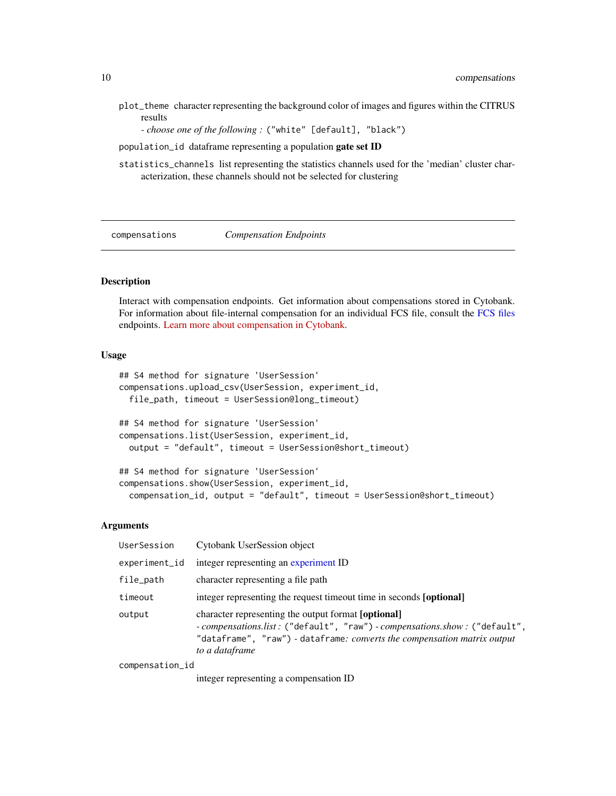<span id="page-9-0"></span>plot\_theme character representing the background color of images and figures within the CITRUS results

*- choose one of the following :* ("white" [default], "black")

population\_id dataframe representing a population gate set ID

statistics\_channels list representing the statistics channels used for the 'median' cluster characterization, these channels should not be selected for clustering

<span id="page-9-1"></span>compensations *Compensation Endpoints*

#### Description

Interact with compensation endpoints. Get information about compensations stored in Cytobank. For information about file-internal compensation for an individual FCS file, consult the [FCS files](#page-15-2) endpoints. [Learn more about compensation in Cytobank.](https://support.cytobank.org/hc/en-us/sections/200867447-Articles-on-Compensation)

#### Usage

```
## S4 method for signature 'UserSession'
compensations.upload_csv(UserSession, experiment_id,
  file_path, timeout = UserSession@long_timeout)
## S4 method for signature 'UserSession'
compensations.list(UserSession, experiment_id,
 output = "default", timeout = UserSession@short_timeout)
## S4 method for signature 'UserSession'
compensations.show(UserSession, experiment_id,
  compensation_id, output = "default", timeout = UserSession@short_timeout)
```
#### Arguments

| UserSession   | Cytobank UserSession object                                                                                                                                                                                                     |
|---------------|---------------------------------------------------------------------------------------------------------------------------------------------------------------------------------------------------------------------------------|
| experiment_id | integer representing an experiment ID                                                                                                                                                                                           |
| file_path     | character representing a file path                                                                                                                                                                                              |
| timeout       | integer representing the request time out time in seconds [optional]                                                                                                                                                            |
| output        | character representing the output format [optional]<br>- compensations.list: ("default", "raw") - compensations.show: ("default",<br>"dataframe", "raw") - dataframe: converts the compensation matrix output<br>to a dataframe |

compensation\_id

integer representing a compensation ID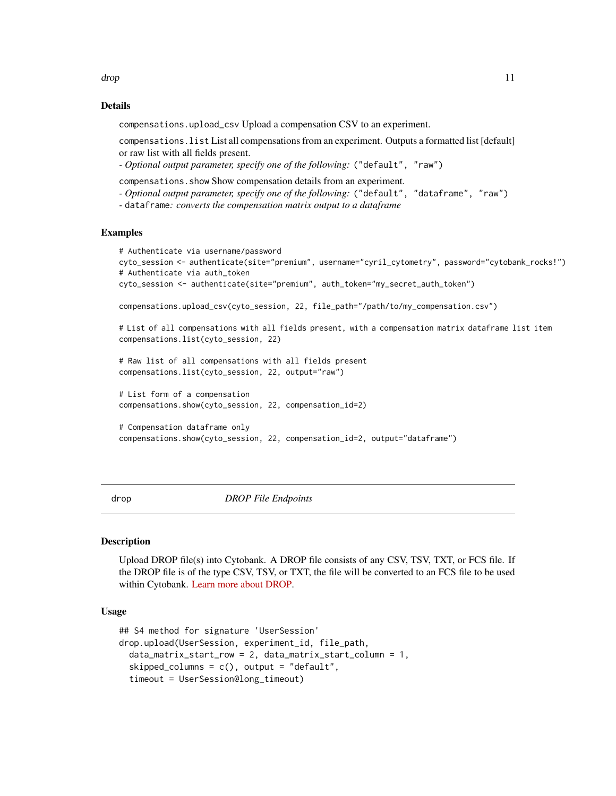<span id="page-10-0"></span>drop the contract of the contract of the contract of the contract of the contract of the contract of the contract of the contract of the contract of the contract of the contract of the contract of the contract of the contr

#### Details

compensations.upload\_csv Upload a compensation CSV to an experiment.

compensations.list List all compensations from an experiment. Outputs a formatted list [default] or raw list with all fields present.

*- Optional output parameter, specify one of the following:* ("default", "raw")

compensations.show Show compensation details from an experiment.

*- Optional output parameter, specify one of the following:* ("default", "dataframe", "raw")

*-* dataframe*: converts the compensation matrix output to a dataframe*

#### Examples

```
# Authenticate via username/password
cyto_session <- authenticate(site="premium", username="cyril_cytometry", password="cytobank_rocks!")
# Authenticate via auth_token
cyto_session <- authenticate(site="premium", auth_token="my_secret_auth_token")
compensations.upload_csv(cyto_session, 22, file_path="/path/to/my_compensation.csv")
# List of all compensations with all fields present, with a compensation matrix dataframe list item
compensations.list(cyto_session, 22)
# Raw list of all compensations with all fields present
compensations.list(cyto_session, 22, output="raw")
# List form of a compensation
compensations.show(cyto_session, 22, compensation_id=2)
# Compensation dataframe only
compensations.show(cyto_session, 22, compensation_id=2, output="dataframe")
```
drop *DROP File Endpoints*

#### **Description**

Upload DROP file(s) into Cytobank. A DROP file consists of any CSV, TSV, TXT, or FCS file. If the DROP file is of the type CSV, TSV, or TXT, the file will be converted to an FCS file to be used within Cytobank. [Learn more about DROP.](https://support.cytobank.org/hc/en-us/articles/206252468-How-to-analyze-gene-expression-or-imaging-data-in-Cytobank-CSV-to-FCS-)

#### Usage

```
## S4 method for signature 'UserSession'
drop.upload(UserSession, experiment_id, file_path,
  data_matrix_start_row = 2, data_matrix_start_column = 1,
  skipped_columns = c(), output = "default",
  timeout = UserSession@long_timeout)
```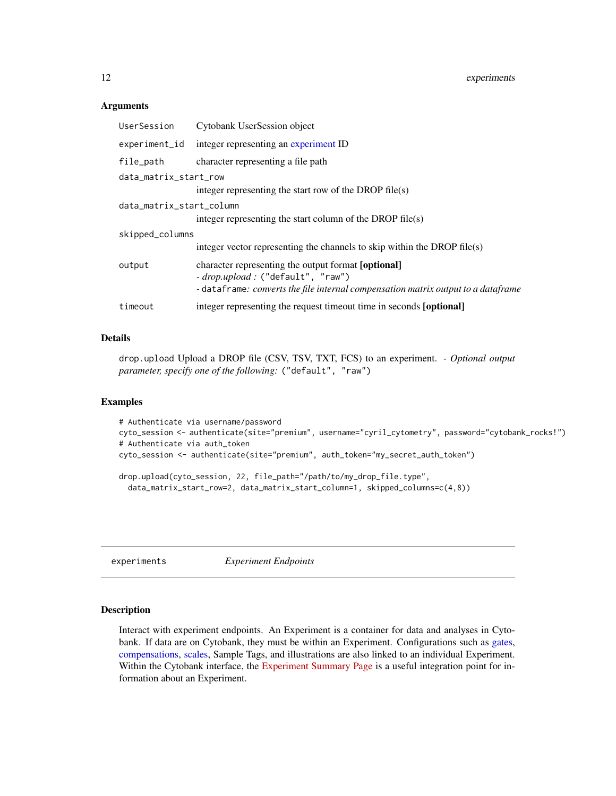#### **Arguments**

| UserSession              | Cytobank UserSession object                                                                                                                                                           |
|--------------------------|---------------------------------------------------------------------------------------------------------------------------------------------------------------------------------------|
| experiment_id            | integer representing an experiment ID                                                                                                                                                 |
| file_path                | character representing a file path                                                                                                                                                    |
| data_matrix_start_row    |                                                                                                                                                                                       |
|                          | integer representing the start row of the DROP file(s)                                                                                                                                |
| data_matrix_start_column |                                                                                                                                                                                       |
|                          | integer representing the start column of the DROP file(s)                                                                                                                             |
| skipped_columns          |                                                                                                                                                                                       |
|                          | integer vector representing the channels to skip within the DROP file(s)                                                                                                              |
| output                   | character representing the output format [optional]<br>- <i>drop.upload</i> : ("default", "raw")<br>- dataframe: converts the file internal compensation matrix output to a dataframe |
| timeout                  | integer representing the request time out time in seconds [optional]                                                                                                                  |

#### Details

drop.upload Upload a DROP file (CSV, TSV, TXT, FCS) to an experiment. *- Optional output parameter, specify one of the following:* ("default", "raw")

#### Examples

```
# Authenticate via username/password
cyto_session <- authenticate(site="premium", username="cyril_cytometry", password="cytobank_rocks!")
# Authenticate via auth_token
cyto_session <- authenticate(site="premium", auth_token="my_secret_auth_token")
drop.upload(cyto_session, 22, file_path="/path/to/my_drop_file.type",
  data_matrix_start_row=2, data_matrix_start_column=1, skipped_columns=c(4,8))
```
<span id="page-11-1"></span>

experiments *Experiment Endpoints*

#### **Description**

Interact with experiment endpoints. An Experiment is a container for data and analyses in Cytobank. If data are on Cytobank, they must be within an Experiment. Configurations such as [gates,](#page-22-1) [compensations,](#page-9-1) [scales,](#page-28-1) Sample Tags, and illustrations are also linked to an individual Experiment. Within the Cytobank interface, the [Experiment Summary Page](https://support.cytobank.org/hc/en-us/articles/206946617-The-Experiment-Summary-page) is a useful integration point for information about an Experiment.

<span id="page-11-0"></span>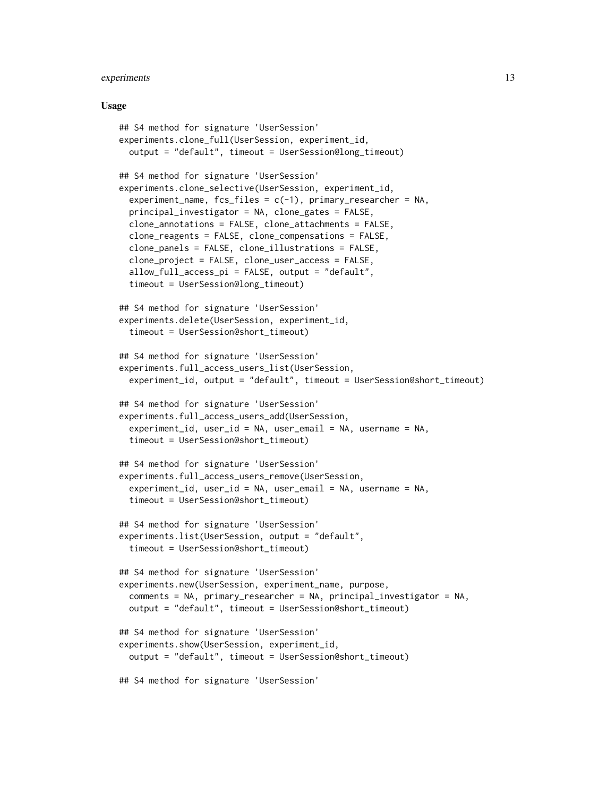#### experiments 13

#### Usage

```
## S4 method for signature 'UserSession'
experiments.clone_full(UserSession, experiment_id,
 output = "default", timeout = UserSession@long_timeout)
## S4 method for signature 'UserSession'
experiments.clone_selective(UserSession, experiment_id,
  experiment_name, fcs_files = c(-1), primary_researcher = NA,
  principal_investigator = NA, clone_gates = FALSE,
  clone_annotations = FALSE, clone_attachments = FALSE,
  clone_reagents = FALSE, clone_compensations = FALSE,
  clone_panels = FALSE, clone_illustrations = FALSE,
  clone_project = FALSE, clone_user_access = FALSE,
  allow_full_access_pi = FALSE, output = "default",
  timeout = UserSession@long_timeout)
## S4 method for signature 'UserSession'
experiments.delete(UserSession, experiment_id,
  timeout = UserSession@short_timeout)
## S4 method for signature 'UserSession'
experiments.full_access_users_list(UserSession,
  experiment_id, output = "default", timeout = UserSession@short_timeout)
## S4 method for signature 'UserSession'
experiments.full_access_users_add(UserSession,
  experiment_id, user_id = NA, user_email = NA, username = NA,
  timeout = UserSession@short_timeout)
## S4 method for signature 'UserSession'
experiments.full_access_users_remove(UserSession,
  experiment_id, user_id = NA, user_email = NA, username = NA,
  timeout = UserSession@short_timeout)
## S4 method for signature 'UserSession'
experiments.list(UserSession, output = "default",
  timeout = UserSession@short_timeout)
## S4 method for signature 'UserSession'
experiments.new(UserSession, experiment_name, purpose,
  comments = NA, primary_researcher = NA, principal_investigator = NA,
  output = "default", timeout = UserSession@short_timeout)
## S4 method for signature 'UserSession'
experiments.show(UserSession, experiment_id,
 output = "default", timeout = UserSession@short_timeout)
## S4 method for signature 'UserSession'
```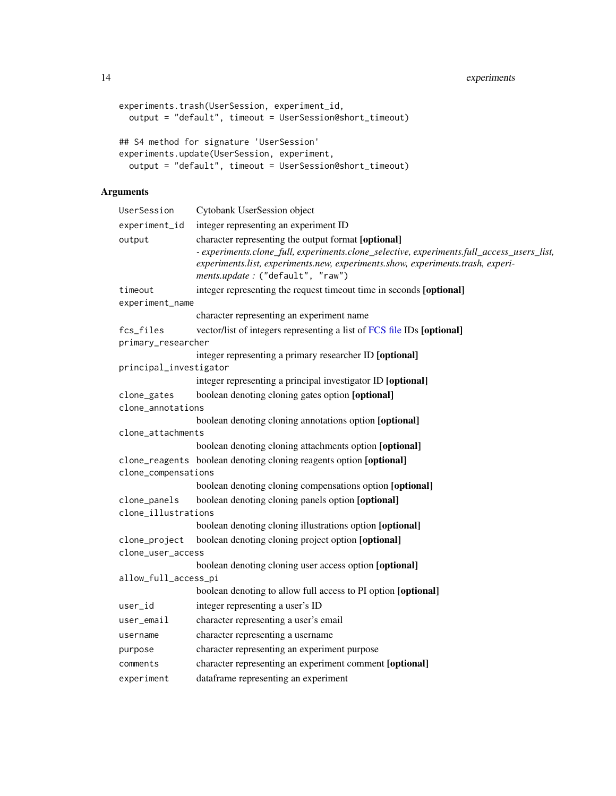```
14 experiments
```

```
experiments.trash(UserSession, experiment_id,
 output = "default", timeout = UserSession@short_timeout)
## S4 method for signature 'UserSession'
experiments.update(UserSession, experiment,
 output = "default", timeout = UserSession@short_timeout)
```
### Arguments

| UserSession            | Cytobank UserSession object                                                                                                                                                                                                                                              |
|------------------------|--------------------------------------------------------------------------------------------------------------------------------------------------------------------------------------------------------------------------------------------------------------------------|
| experiment_id          | integer representing an experiment ID                                                                                                                                                                                                                                    |
| output                 | character representing the output format [optional]<br>- experiments.clone_full, experiments.clone_selective, experiments.full_access_users_list,<br>experiments.list, experiments.new, experiments.show, experiments.trash, experi-<br>ments.update: ("default", "raw") |
| timeout                | integer representing the request timeout time in seconds [optional]                                                                                                                                                                                                      |
| experiment_name        |                                                                                                                                                                                                                                                                          |
|                        | character representing an experiment name                                                                                                                                                                                                                                |
| fcs_files              | vector/list of integers representing a list of FCS file IDs [optional]                                                                                                                                                                                                   |
| primary_researcher     |                                                                                                                                                                                                                                                                          |
|                        | integer representing a primary researcher ID [optional]                                                                                                                                                                                                                  |
| principal_investigator |                                                                                                                                                                                                                                                                          |
|                        | integer representing a principal investigator ID [optional]                                                                                                                                                                                                              |
| clone_gates            | boolean denoting cloning gates option [optional]                                                                                                                                                                                                                         |
| clone_annotations      |                                                                                                                                                                                                                                                                          |
| clone_attachments      | boolean denoting cloning annotations option [optional]                                                                                                                                                                                                                   |
|                        | boolean denoting cloning attachments option [optional]                                                                                                                                                                                                                   |
|                        | clone_reagents boolean denoting cloning reagents option [optional]                                                                                                                                                                                                       |
| clone_compensations    |                                                                                                                                                                                                                                                                          |
|                        | boolean denoting cloning compensations option [optional]                                                                                                                                                                                                                 |
| clone_panels           | boolean denoting cloning panels option [optional]                                                                                                                                                                                                                        |
| clone_illustrations    |                                                                                                                                                                                                                                                                          |
|                        | boolean denoting cloning illustrations option [optional]                                                                                                                                                                                                                 |
| clone_project          | boolean denoting cloning project option [optional]                                                                                                                                                                                                                       |
| clone_user_access      |                                                                                                                                                                                                                                                                          |
|                        | boolean denoting cloning user access option [optional]                                                                                                                                                                                                                   |
| allow_full_access_pi   |                                                                                                                                                                                                                                                                          |
|                        | boolean denoting to allow full access to PI option [optional]                                                                                                                                                                                                            |
| user_id                | integer representing a user's ID                                                                                                                                                                                                                                         |
| user_email             | character representing a user's email                                                                                                                                                                                                                                    |
| username               | character representing a username                                                                                                                                                                                                                                        |
| purpose                | character representing an experiment purpose                                                                                                                                                                                                                             |
| comments               | character representing an experiment comment [optional]                                                                                                                                                                                                                  |
| experiment             | dataframe representing an experiment                                                                                                                                                                                                                                     |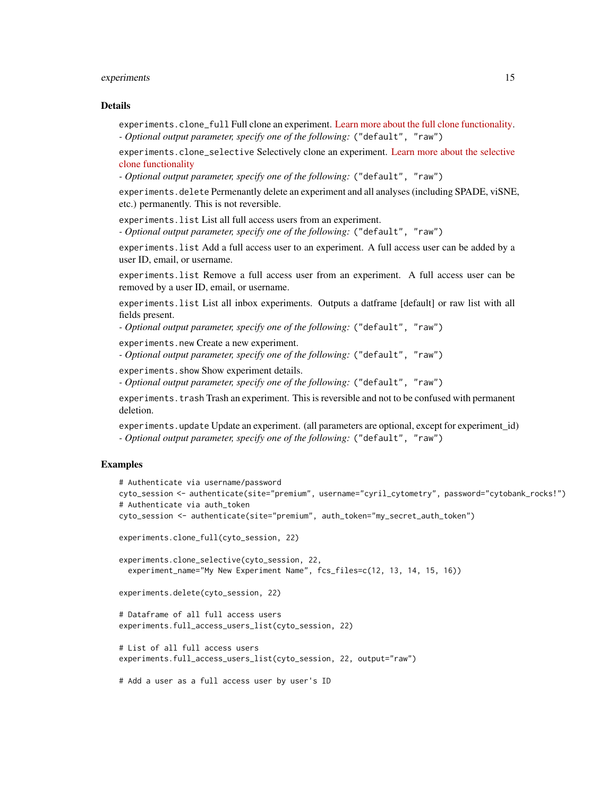#### experiments and the set of the set of the set of the set of the set of the set of the set of the set of the set of the set of the set of the set of the set of the set of the set of the set of the set of the set of the set

#### Details

experiments.clone\_full Full clone an experiment. [Learn more about the full clone functionality.](https://support.cytobank.org/hc/en-us/articles/205337847-Clone-an-experiment-to-make-a-copy-for-your-own-use#full_clone) *- Optional output parameter, specify one of the following:* ("default", "raw")

experiments.clone\_selective Selectively clone an experiment. [Learn more about the selective](https://support.cytobank.org/hc/en-us/articles/205337847-Clone-an-experiment-to-make-a-copy-for-your-own-use#selective_clone) [clone functionality](https://support.cytobank.org/hc/en-us/articles/205337847-Clone-an-experiment-to-make-a-copy-for-your-own-use#selective_clone)

*- Optional output parameter, specify one of the following:* ("default", "raw")

experiments.delete Permenantly delete an experiment and all analyses (including SPADE, viSNE, etc.) permanently. This is not reversible.

experiments.list List all full access users from an experiment.

*- Optional output parameter, specify one of the following:* ("default", "raw")

experiments.list Add a full access user to an experiment. A full access user can be added by a user ID, email, or username.

experiments.list Remove a full access user from an experiment. A full access user can be removed by a user ID, email, or username.

experiments.list List all inbox experiments. Outputs a datframe [default] or raw list with all fields present.

*- Optional output parameter, specify one of the following:* ("default", "raw")

experiments.new Create a new experiment.

*- Optional output parameter, specify one of the following:* ("default", "raw")

experiments.show Show experiment details.

*- Optional output parameter, specify one of the following:* ("default", "raw")

experiments. trash Trash an experiment. This is reversible and not to be confused with permanent deletion.

experiments.update Update an experiment. (all parameters are optional, except for experiment\_id) *- Optional output parameter, specify one of the following:* ("default", "raw")

#### Examples

```
# Authenticate via username/password
cyto_session <- authenticate(site="premium", username="cyril_cytometry", password="cytobank_rocks!")
# Authenticate via auth_token
cyto_session <- authenticate(site="premium", auth_token="my_secret_auth_token")
experiments.clone_full(cyto_session, 22)
experiments.clone_selective(cyto_session, 22,
 experiment_name="My New Experiment Name", fcs_files=c(12, 13, 14, 15, 16))
experiments.delete(cyto_session, 22)
# Dataframe of all full access users
experiments.full_access_users_list(cyto_session, 22)
# List of all full access users
experiments.full_access_users_list(cyto_session, 22, output="raw")
# Add a user as a full access user by user's ID
```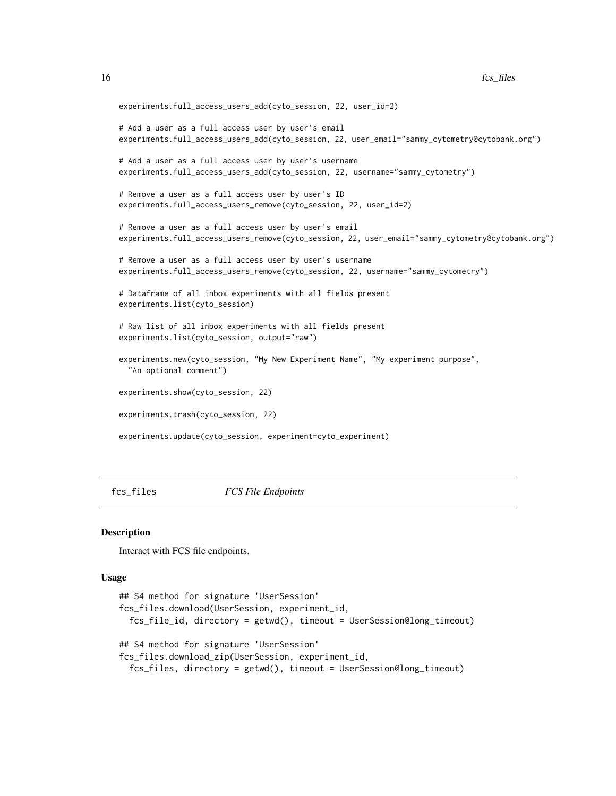```
experiments.full_access_users_add(cyto_session, 22, user_id=2)
# Add a user as a full access user by user's email
experiments.full_access_users_add(cyto_session, 22, user_email="sammy_cytometry@cytobank.org")
# Add a user as a full access user by user's username
experiments.full_access_users_add(cyto_session, 22, username="sammy_cytometry")
# Remove a user as a full access user by user's ID
experiments.full_access_users_remove(cyto_session, 22, user_id=2)
# Remove a user as a full access user by user's email
experiments.full_access_users_remove(cyto_session, 22, user_email="sammy_cytometry@cytobank.org")
# Remove a user as a full access user by user's username
experiments.full_access_users_remove(cyto_session, 22, username="sammy_cytometry")
# Dataframe of all inbox experiments with all fields present
experiments.list(cyto_session)
# Raw list of all inbox experiments with all fields present
experiments.list(cyto_session, output="raw")
experiments.new(cyto_session, "My New Experiment Name", "My experiment purpose",
  "An optional comment")
experiments.show(cyto_session, 22)
experiments.trash(cyto_session, 22)
experiments.update(cyto_session, experiment=cyto_experiment)
```
<span id="page-15-2"></span>fcs\_files *FCS File Endpoints*

#### <span id="page-15-1"></span>**Description**

Interact with FCS file endpoints.

#### Usage

```
## S4 method for signature 'UserSession'
fcs_files.download(UserSession, experiment_id,
  fcs_file_id, directory = getwd(), timeout = UserSession@long_timeout)
## S4 method for signature 'UserSession'
fcs_files.download_zip(UserSession, experiment_id,
 fcs_files, directory = getwd(), timeout = UserSession@long_timeout)
```
<span id="page-15-0"></span>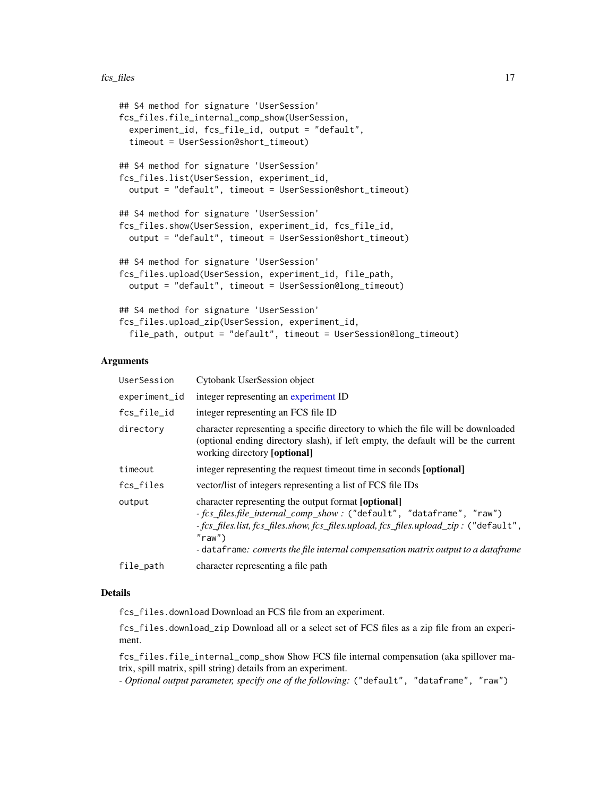#### <span id="page-16-0"></span>fcs\_files 17

```
## S4 method for signature 'UserSession'
fcs_files.file_internal_comp_show(UserSession,
 experiment_id, fcs_file_id, output = "default",
 timeout = UserSession@short_timeout)
## S4 method for signature 'UserSession'
fcs_files.list(UserSession, experiment_id,
  output = "default", timeout = UserSession@short_timeout)
## S4 method for signature 'UserSession'
fcs_files.show(UserSession, experiment_id, fcs_file_id,
  output = "default", timeout = UserSession@short_timeout)
## S4 method for signature 'UserSession'
fcs_files.upload(UserSession, experiment_id, file_path,
 output = "default", timeout = UserSession@long_timeout)
## S4 method for signature 'UserSession'
fcs_files.upload_zip(UserSession, experiment_id,
  file_path, output = "default", timeout = UserSession@long_timeout)
```
#### **Arguments**

| UserSession   | Cytobank UserSession object                                                                                                                                                                                                                                                                                         |
|---------------|---------------------------------------------------------------------------------------------------------------------------------------------------------------------------------------------------------------------------------------------------------------------------------------------------------------------|
| experiment_id | integer representing an experiment ID                                                                                                                                                                                                                                                                               |
| fcs_file_id   | integer representing an FCS file ID                                                                                                                                                                                                                                                                                 |
| directory     | character representing a specific directory to which the file will be downloaded<br>(optional ending directory slash), if left empty, the default will be the current<br>working directory [optional]                                                                                                               |
| timeout       | integer representing the request time out time in seconds [optional]                                                                                                                                                                                                                                                |
| fcs_files     | vector/list of integers representing a list of FCS file IDs                                                                                                                                                                                                                                                         |
| output        | character representing the output format [optional]<br>- fcs_files.file_internal_comp_show: ("default", "dataframe", "raw")<br>- fcs_files.list, fcs_files.show, fcs_files.upload, fcs_files.upload_zip: ("default",<br>"raw")<br>- dataframe: converts the file internal compensation matrix output to a dataframe |
| file_path     | character representing a file path                                                                                                                                                                                                                                                                                  |

#### Details

fcs\_files.download Download an FCS file from an experiment.

fcs\_files.download\_zip Download all or a select set of FCS files as a zip file from an experiment.

fcs\_files.file\_internal\_comp\_show Show FCS file internal compensation (aka spillover matrix, spill matrix, spill string) details from an experiment.

*- Optional output parameter, specify one of the following:* ("default", "dataframe", "raw")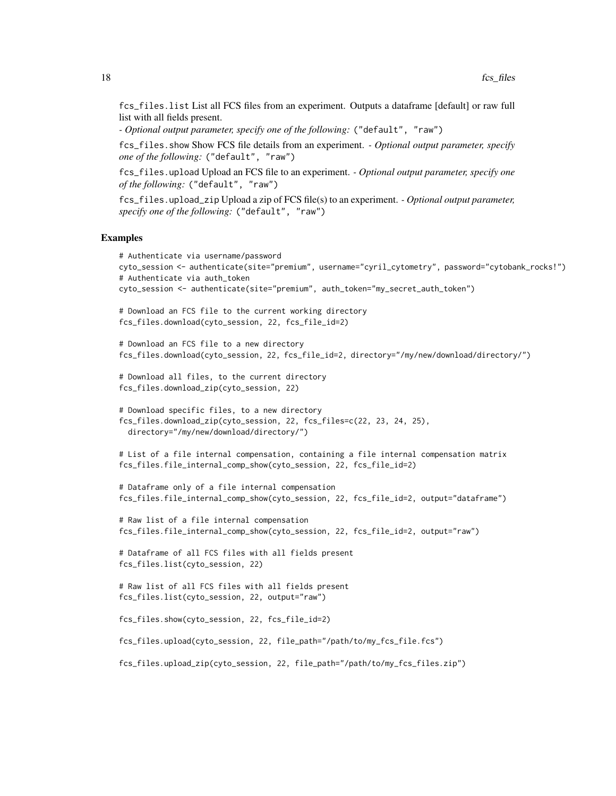fcs\_files.list List all FCS files from an experiment. Outputs a dataframe [default] or raw full list with all fields present.

*- Optional output parameter, specify one of the following:* ("default", "raw")

fcs\_files.show Show FCS file details from an experiment. *- Optional output parameter, specify one of the following:* ("default", "raw")

fcs\_files.upload Upload an FCS file to an experiment. *- Optional output parameter, specify one of the following:* ("default", "raw")

fcs\_files.upload\_zip Upload a zip of FCS file(s) to an experiment. *- Optional output parameter, specify one of the following:* ("default", "raw")

#### Examples

```
# Authenticate via username/password
cyto_session <- authenticate(site="premium", username="cyril_cytometry", password="cytobank_rocks!")
# Authenticate via auth_token
cyto_session <- authenticate(site="premium", auth_token="my_secret_auth_token")
# Download an FCS file to the current working directory
fcs_files.download(cyto_session, 22, fcs_file_id=2)
```
# Download an FCS file to a new directory fcs\_files.download(cyto\_session, 22, fcs\_file\_id=2, directory="/my/new/download/directory/")

```
# Download all files, to the current directory
fcs_files.download_zip(cyto_session, 22)
```

```
# Download specific files, to a new directory
fcs_files.download_zip(cyto_session, 22, fcs_files=c(22, 23, 24, 25),
 directory="/my/new/download/directory/")
```
# List of a file internal compensation, containing a file internal compensation matrix fcs\_files.file\_internal\_comp\_show(cyto\_session, 22, fcs\_file\_id=2)

```
# Dataframe only of a file internal compensation
fcs_files.file_internal_comp_show(cyto_session, 22, fcs_file_id=2, output="dataframe")
```
# Raw list of a file internal compensation fcs\_files.file\_internal\_comp\_show(cyto\_session, 22, fcs\_file\_id=2, output="raw")

# Dataframe of all FCS files with all fields present fcs\_files.list(cyto\_session, 22)

# Raw list of all FCS files with all fields present fcs\_files.list(cyto\_session, 22, output="raw")

fcs\_files.show(cyto\_session, 22, fcs\_file\_id=2)

fcs\_files.upload(cyto\_session, 22, file\_path="/path/to/my\_fcs\_file.fcs")

fcs\_files.upload\_zip(cyto\_session, 22, file\_path="/path/to/my\_fcs\_files.zip")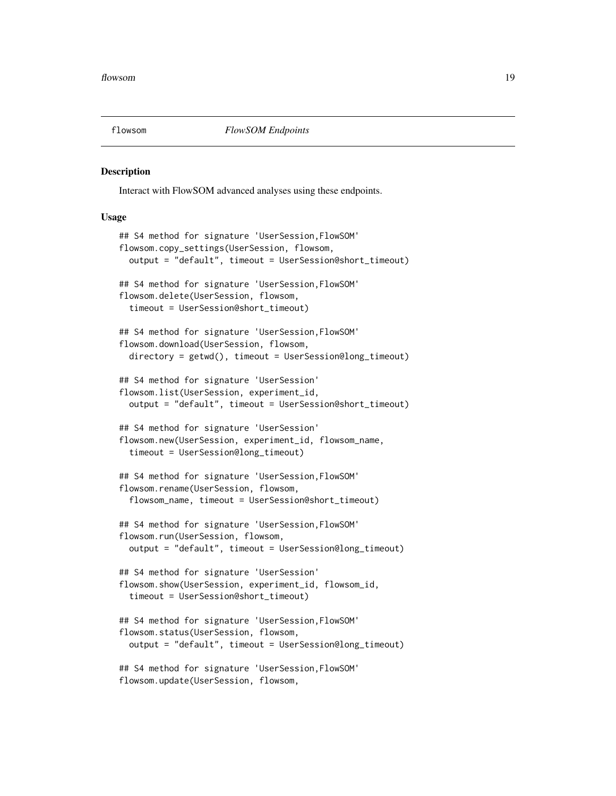<span id="page-18-2"></span><span id="page-18-0"></span>

#### <span id="page-18-1"></span>Description

Interact with FlowSOM advanced analyses using these endpoints.

#### Usage

```
## S4 method for signature 'UserSession,FlowSOM'
flowsom.copy_settings(UserSession, flowsom,
  output = "default", timeout = UserSession@short_timeout)
## S4 method for signature 'UserSession,FlowSOM'
flowsom.delete(UserSession, flowsom,
  timeout = UserSession@short_timeout)
## S4 method for signature 'UserSession,FlowSOM'
flowsom.download(UserSession, flowsom,
  directory = getwd(), timeout = UserSession@long_timeout)
## S4 method for signature 'UserSession'
flowsom.list(UserSession, experiment_id,
 output = "default", timeout = UserSession@short_timeout)
## S4 method for signature 'UserSession'
flowsom.new(UserSession, experiment_id, flowsom_name,
  timeout = UserSession@long_timeout)
## S4 method for signature 'UserSession,FlowSOM'
flowsom.rename(UserSession, flowsom,
  flowsom_name, timeout = UserSession@short_timeout)
## S4 method for signature 'UserSession,FlowSOM'
flowsom.run(UserSession, flowsom,
  output = "default", timeout = UserSession@long_timeout)
## S4 method for signature 'UserSession'
flowsom.show(UserSession, experiment_id, flowsom_id,
  timeout = UserSession@short_timeout)
## S4 method for signature 'UserSession,FlowSOM'
flowsom.status(UserSession, flowsom,
  output = "default", timeout = UserSession@long_timeout)
## S4 method for signature 'UserSession,FlowSOM'
flowsom.update(UserSession, flowsom,
```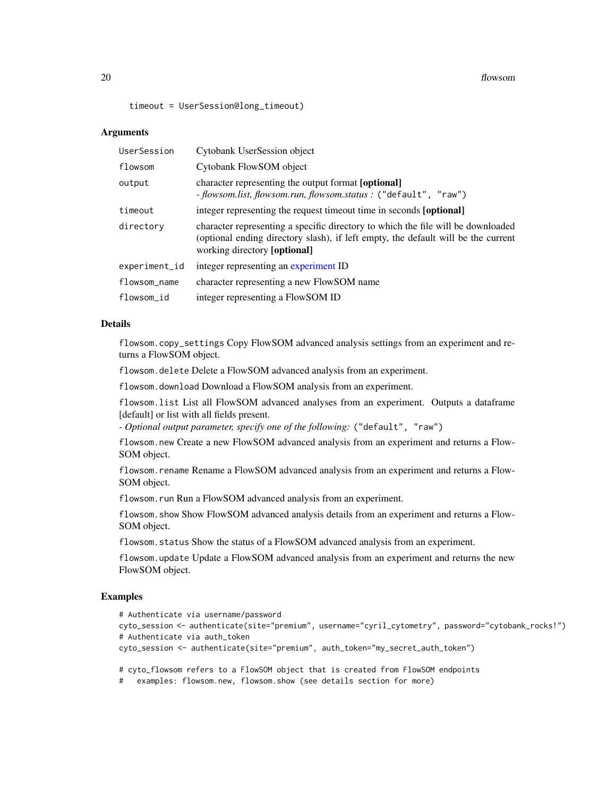#### <span id="page-19-0"></span>20 flowsom and the state of the state of the state of the state of the state of the state of the state of the state of the state of the state of the state of the state of the state of the state of the state of the state of

timeout = UserSession@long\_timeout)

#### Arguments

| UserSession   | Cytobank UserSession object                                                                                                                                                                           |
|---------------|-------------------------------------------------------------------------------------------------------------------------------------------------------------------------------------------------------|
| flowsom       | Cytobank FlowSOM object                                                                                                                                                                               |
| output        | character representing the output format [optional]<br>- flowsom.list, flowsom.run, flowsom.status : ("default", "raw")                                                                               |
| timeout       | integer representing the request time out time in seconds [optional]                                                                                                                                  |
| directory     | character representing a specific directory to which the file will be downloaded<br>(optional ending directory slash), if left empty, the default will be the current<br>working directory [optional] |
| experiment_id | integer representing an experiment ID                                                                                                                                                                 |
| flowsom_name  | character representing a new FlowSOM name                                                                                                                                                             |
| flowsom_id    | integer representing a FlowSOM ID                                                                                                                                                                     |

#### Details

flowsom.copy\_settings Copy FlowSOM advanced analysis settings from an experiment and returns a FlowSOM object.

flowsom.delete Delete a FlowSOM advanced analysis from an experiment.

flowsom.download Download a FlowSOM analysis from an experiment.

flowsom.list List all FlowSOM advanced analyses from an experiment. Outputs a dataframe [default] or list with all fields present.

*- Optional output parameter, specify one of the following:* ("default", "raw")

flowsom.new Create a new FlowSOM advanced analysis from an experiment and returns a Flow-SOM object.

flowsom.rename Rename a FlowSOM advanced analysis from an experiment and returns a Flow-SOM object.

flowsom.run Run a FlowSOM advanced analysis from an experiment.

flowsom.show Show FlowSOM advanced analysis details from an experiment and returns a Flow-SOM object.

flowsom.status Show the status of a FlowSOM advanced analysis from an experiment.

flowsom.update Update a FlowSOM advanced analysis from an experiment and returns the new FlowSOM object.

#### Examples

```
# Authenticate via username/password
cyto_session <- authenticate(site="premium", username="cyril_cytometry", password="cytobank_rocks!")
# Authenticate via auth_token
cyto_session <- authenticate(site="premium", auth_token="my_secret_auth_token")
```
# cyto\_flowsom refers to a FlowSOM object that is created from FlowSOM endpoints

# examples: flowsom.new, flowsom.show (see details section for more)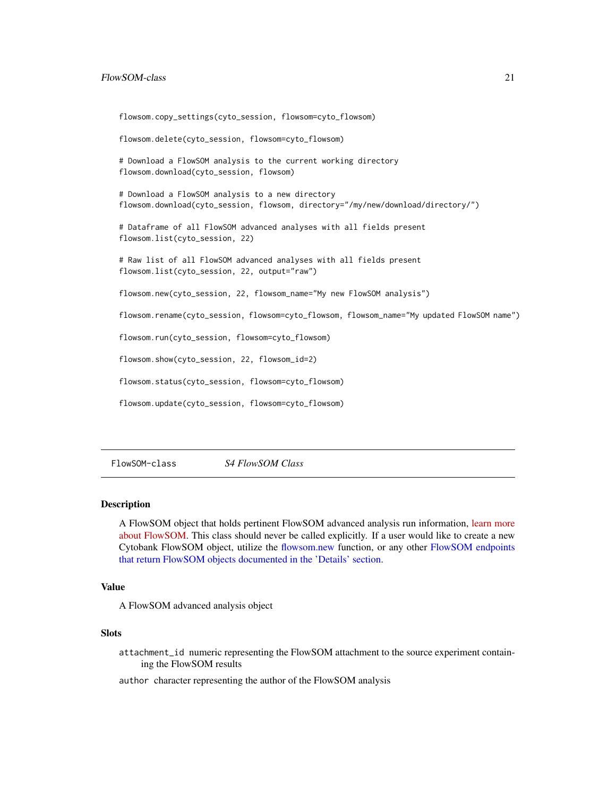#### <span id="page-20-0"></span>FlowSOM-class 21

flowsom.copy\_settings(cyto\_session, flowsom=cyto\_flowsom) flowsom.delete(cyto\_session, flowsom=cyto\_flowsom) # Download a FlowSOM analysis to the current working directory flowsom.download(cyto\_session, flowsom) # Download a FlowSOM analysis to a new directory flowsom.download(cyto\_session, flowsom, directory="/my/new/download/directory/") # Dataframe of all FlowSOM advanced analyses with all fields present flowsom.list(cyto\_session, 22) # Raw list of all FlowSOM advanced analyses with all fields present flowsom.list(cyto\_session, 22, output="raw") flowsom.new(cyto\_session, 22, flowsom\_name="My new FlowSOM analysis") flowsom.rename(cyto\_session, flowsom=cyto\_flowsom, flowsom\_name="My updated FlowSOM name") flowsom.run(cyto\_session, flowsom=cyto\_flowsom) flowsom.show(cyto\_session, 22, flowsom\_id=2) flowsom.status(cyto\_session, flowsom=cyto\_flowsom) flowsom.update(cyto\_session, flowsom=cyto\_flowsom)

FlowSOM-class *S4 FlowSOM Class*

#### Description

A FlowSOM object that holds pertinent FlowSOM advanced analysis run information, [learn more](https://support.cytobank.org/hc/en-us/articles/360018969712) [about FlowSOM.](https://support.cytobank.org/hc/en-us/articles/360018969712) This class should never be called explicitly. If a user would like to create a new Cytobank FlowSOM object, utilize the [flowsom.new](#page-18-1) function, or any other [FlowSOM endpoints](#page-18-2) [that return FlowSOM objects documented in the 'Details' section.](#page-18-2)

#### Value

A FlowSOM advanced analysis object

#### **Slots**

- attachment\_id numeric representing the FlowSOM attachment to the source experiment containing the FlowSOM results
- author character representing the author of the FlowSOM analysis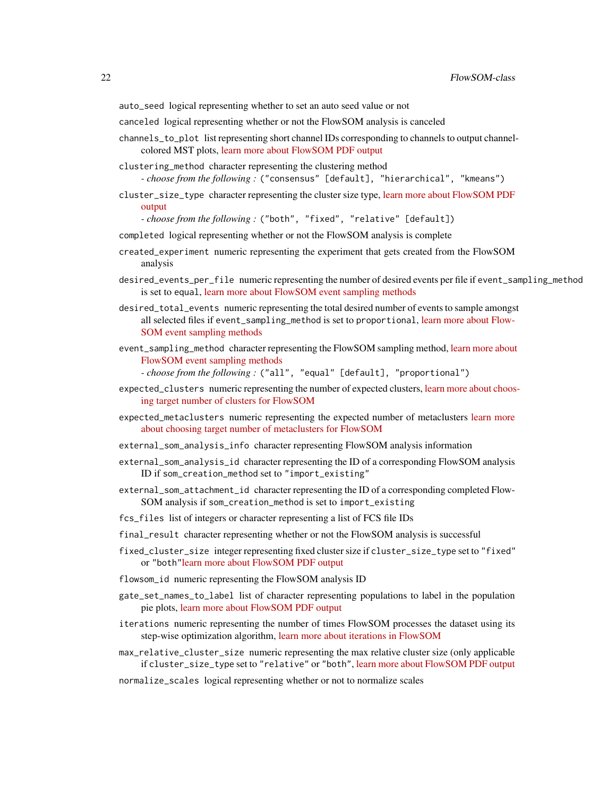auto\_seed logical representing whether to set an auto seed value or not

canceled logical representing whether or not the FlowSOM analysis is canceled

- channels\_to\_plot list representing short channel IDs corresponding to channels to output channelcolored MST plots, [learn more about FlowSOM PDF output](https://support.cytobank.org/hc/en-us/articles/360015918512#Channels-to-plot)
- clustering\_method character representing the clustering method *- choose from the following :* ("consensus" [default], "hierarchical", "kmeans")
- cluster\_size\_type character representing the cluster size type, [learn more about FlowSOM PDF](https://support.cytobank.org/hc/en-us/articles/360015918512#cluster-sizing) [output](https://support.cytobank.org/hc/en-us/articles/360015918512#cluster-sizing)

*- choose from the following :* ("both", "fixed", "relative" [default])

- completed logical representing whether or not the FlowSOM analysis is complete
- created\_experiment numeric representing the experiment that gets created from the FlowSOM analysis
- desired\_events\_per\_file numeric representing the number of desired events per file if event\_sampling\_method is set to equal, [learn more about FlowSOM event sampling methods](https://support.cytobank.org/hc/en-us/articles/360015918512#Event-Count-Sampling)
- desired\_total\_events numeric representing the total desired number of events to sample amongst all selected files if event\_sampling\_method is set to proportional, [learn more about Flow-](https://support.cytobank.org/hc/en-us/articles/360015918512#Event-Count-Sampling)[SOM event sampling methods](https://support.cytobank.org/hc/en-us/articles/360015918512#Event-Count-Sampling)
- event\_sampling\_method character representing the FlowSOM sampling method, [learn more about](https://support.cytobank.org/hc/en-us/articles/360015918512#Event-Count-Sampling) [FlowSOM event sampling methods](https://support.cytobank.org/hc/en-us/articles/360015918512#Event-Count-Sampling)

*- choose from the following :* ("all", "equal" [default], "proportional")

- expected\_clusters numeric representing the number of expected clusters, [learn more about choos](https://support.cytobank.org/hc/en-us/articles/360015918512#Choosing-a-Target-Number-of-Clusters)[ing target number of clusters for FlowSOM](https://support.cytobank.org/hc/en-us/articles/360015918512#Choosing-a-Target-Number-of-Clusters)
- expected\_metaclusters numeric representing the expected number of metaclusters [learn more](https://support.cytobank.org/hc/en-us/articles/360015918512#Choosing-a-Target-Number-of-Metaclusters) [about choosing target number of metaclusters for FlowSOM](https://support.cytobank.org/hc/en-us/articles/360015918512#Choosing-a-Target-Number-of-Metaclusters)
- external\_som\_analysis\_info character representing FlowSOM analysis information
- external\_som\_analysis\_id character representing the ID of a corresponding FlowSOM analysis ID if som\_creation\_method set to "import\_existing"
- external\_som\_attachment\_id character representing the ID of a corresponding completed Flow-SOM analysis if som\_creation\_method is set to import\_existing
- fcs\_files list of integers or character representing a list of FCS file IDs
- final\_result character representing whether or not the FlowSOM analysis is successful
- fixed\_cluster\_size integer representing fixed cluster size if cluster\_size\_type set to "fixed" or "both"[learn more about FlowSOM PDF output](https://support.cytobank.org/hc/en-us/articles/360015918512#cluster-sizing)
- flowsom\_id numeric representing the FlowSOM analysis ID
- gate\_set\_names\_to\_label list of character representing populations to label in the population pie plots, [learn more about FlowSOM PDF output](https://support.cytobank.org/hc/en-us/articles/360015918512#cluster-sizing)
- iterations numeric representing the number of times FlowSOM processes the dataset using its step-wise optimization algorithm, [learn more about iterations in FlowSOM](https://support.cytobank.org/hc/en-us/articles/360015918512#Configuring-Iterations)
- max\_relative\_cluster\_size numeric representing the max relative cluster size (only applicable if cluster\_size\_type set to "relative" or "both", [learn more about FlowSOM PDF output](https://support.cytobank.org/hc/en-us/articles/360015918512#cluster-sizing)
- normalize\_scales logical representing whether or not to normalize scales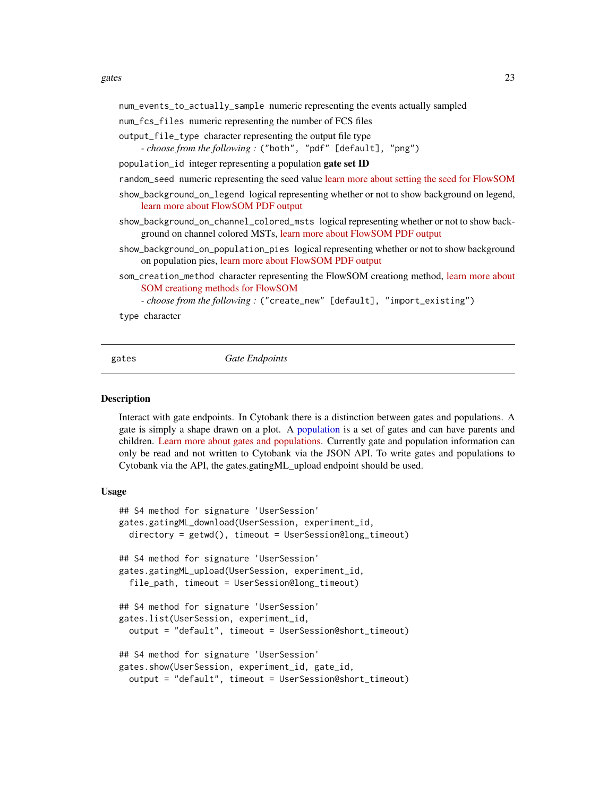<span id="page-22-0"></span>num\_events\_to\_actually\_sample numeric representing the events actually sampled

- num\_fcs\_files numeric representing the number of FCS files
- output\_file\_type character representing the output file type

*- choose from the following :* ("both", "pdf" [default], "png")

- population\_id integer representing a population gate set ID
- random\_seed numeric representing the seed value [learn more about setting the seed for FlowSOM](https://support.cytobank.org/hc/en-us/articles/360015918512#Setting-the-Seed)
- show\_background\_on\_legend logical representing whether or not to show background on legend, [learn more about FlowSOM PDF output](https://support.cytobank.org/hc/en-us/articles/360015918512#cluster-sizing)
- show\_background\_on\_channel\_colored\_msts logical representing whether or not to show background on channel colored MSTs, [learn more about FlowSOM PDF output](https://support.cytobank.org/hc/en-us/articles/360015918512#cluster-sizing)
- show\_background\_on\_population\_pies logical representing whether or not to show background on population pies, [learn more about FlowSOM PDF output](https://support.cytobank.org/hc/en-us/articles/360015918512#cluster-sizing)
- som\_creation\_method character representing the FlowSOM creationg method, [learn more about](https://support.cytobank.org/hc/en-us/articles/360015918512#SOM-Creation) [SOM creationg methods for FlowSOM](https://support.cytobank.org/hc/en-us/articles/360015918512#SOM-Creation)

```
- choose from the following : ("create_new" [default], "import_existing")
```

```
type character
```
<span id="page-22-1"></span>gates *Gate Endpoints*

#### Description

Interact with gate endpoints. In Cytobank there is a distinction between gates and populations. A gate is simply a shape drawn on a plot. A [population](#page-26-2) is a set of gates and can have parents and children. [Learn more about gates and populations.](https://support.cytobank.org/hc/en-us/articles/204765578-The-Difference-Between-a-Gate-and-a-Population-Using-the-Population-Manager-and-considerations-for-deleting-and-renaming-gates) Currently gate and population information can only be read and not written to Cytobank via the JSON API. To write gates and populations to Cytobank via the API, the gates.gatingML\_upload endpoint should be used.

#### Usage

```
## S4 method for signature 'UserSession'
gates.gatingML_download(UserSession, experiment_id,
  directory = getwd(), timeout = UserSession@long_timeout)
## S4 method for signature 'UserSession'
gates.gatingML_upload(UserSession, experiment_id,
  file_path, timeout = UserSession@long_timeout)
## S4 method for signature 'UserSession'
gates.list(UserSession, experiment_id,
  output = "default", timeout = UserSession@short_timeout)
## S4 method for signature 'UserSession'
gates.show(UserSession, experiment_id, gate_id,
  output = "default", timeout = UserSession@short_timeout)
```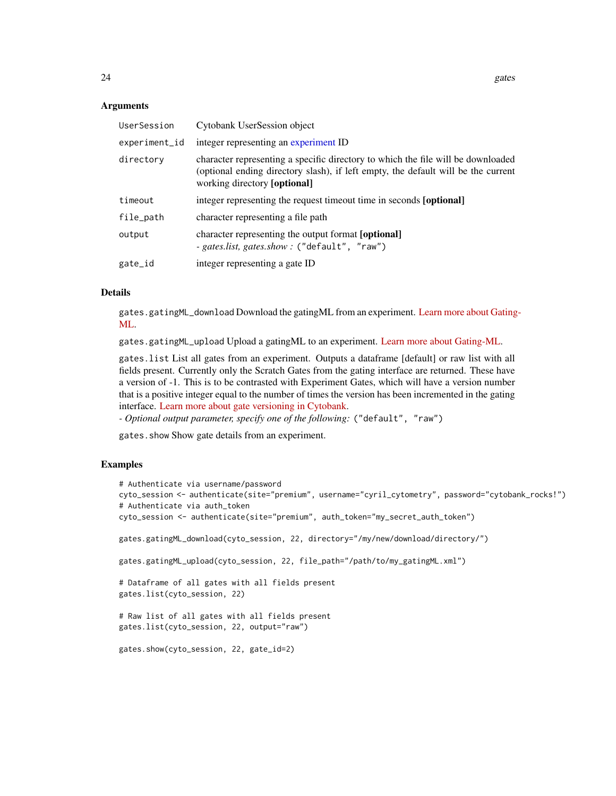#### <span id="page-23-0"></span>Arguments

| UserSession   | Cytobank UserSession object                                                                                                                                                                           |
|---------------|-------------------------------------------------------------------------------------------------------------------------------------------------------------------------------------------------------|
| experiment_id | integer representing an experiment ID                                                                                                                                                                 |
| directory     | character representing a specific directory to which the file will be downloaded<br>(optional ending directory slash), if left empty, the default will be the current<br>working directory [optional] |
| timeout       | integer representing the request time out time in seconds [optional]                                                                                                                                  |
| file_path     | character representing a file path                                                                                                                                                                    |
| output        | character representing the output format [optional]<br>- gates.list, gates.show: ("default", "raw")                                                                                                   |
| gate_id       | integer representing a gate ID                                                                                                                                                                        |

#### Details

gates.gatingML\_download Download the gatingML from an experiment. [Learn more about Gating](https://support.cytobank.org/hc/en-us/articles/204765618-Exporting-and-Importing-Gates-within-Cytobank-and-with-Gating-ML#gatingml)-[ML.](https://support.cytobank.org/hc/en-us/articles/204765618-Exporting-and-Importing-Gates-within-Cytobank-and-with-Gating-ML#gatingml)

gates.gatingML\_upload Upload a gatingML to an experiment. [Learn more about Gating-ML.](https://support.cytobank.org/hc/en-us/articles/204765618-Exporting-and-Importing-Gates-within-Cytobank-and-with-Gating-ML#gatingml)

gates.list List all gates from an experiment. Outputs a dataframe [default] or raw list with all fields present. Currently only the Scratch Gates from the gating interface are returned. These have a version of -1. This is to be contrasted with Experiment Gates, which will have a version number that is a positive integer equal to the number of times the version has been incremented in the gating interface. [Learn more about gate versioning in Cytobank.](https://support.cytobank.org/hc/en-us/articles/205399487-The-Apply-and-Apply-and-Return-buttons-and-gate-versioning)

*- Optional output parameter, specify one of the following:* ("default", "raw")

gates.show Show gate details from an experiment.

#### Examples

```
# Authenticate via username/password
cyto_session <- authenticate(site="premium", username="cyril_cytometry", password="cytobank_rocks!")
# Authenticate via auth_token
cyto_session <- authenticate(site="premium", auth_token="my_secret_auth_token")
gates.gatingML_download(cyto_session, 22, directory="/my/new/download/directory/")
gates.gatingML_upload(cyto_session, 22, file_path="/path/to/my_gatingML.xml")
# Dataframe of all gates with all fields present
gates.list(cyto_session, 22)
# Raw list of all gates with all fields present
gates.list(cyto_session, 22, output="raw")
gates.show(cyto_session, 22, gate_id=2)
```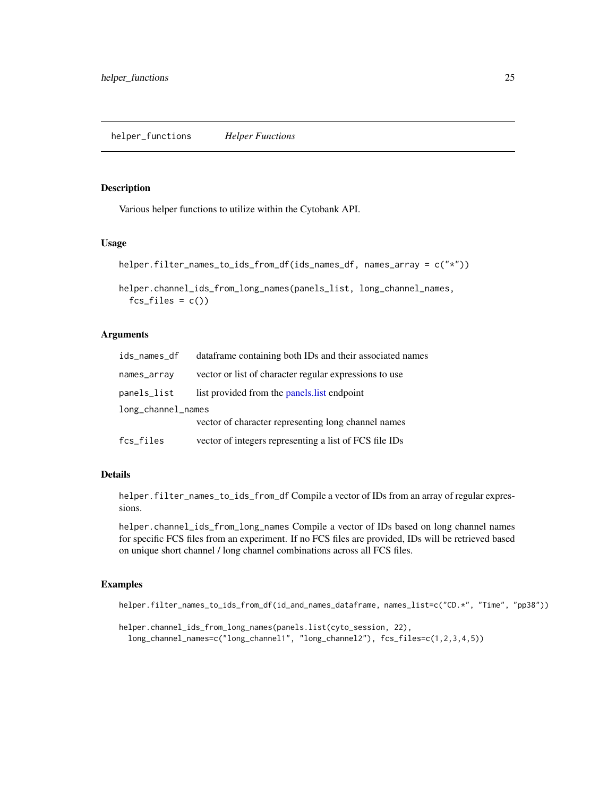#### <span id="page-24-0"></span>Description

Various helper functions to utilize within the Cytobank API.

#### Usage

```
helper.filter_names_to_ids_from_df(ids_names_df, names_array = c("*"))
```

```
helper.channel_ids_from_long_names(panels_list, long_channel_names,
 fcs_files = c()
```
#### Arguments

| ids_names_df       | dataframe containing both IDs and their associated names |
|--------------------|----------------------------------------------------------|
| names_array        | vector or list of character regular expressions to use   |
| panels_list        | list provided from the panels. list endpoint             |
| long_channel_names |                                                          |
|                    | vector of character representing long channel names      |
| fcs_files          | vector of integers representing a list of FCS file IDs   |

#### Details

helper.filter\_names\_to\_ids\_from\_df Compile a vector of IDs from an array of regular expressions.

helper.channel\_ids\_from\_long\_names Compile a vector of IDs based on long channel names for specific FCS files from an experiment. If no FCS files are provided, IDs will be retrieved based on unique short channel / long channel combinations across all FCS files.

#### Examples

helper.filter\_names\_to\_ids\_from\_df(id\_and\_names\_dataframe, names\_list=c("CD.\*", "Time", "pp38"))

```
helper.channel_ids_from_long_names(panels.list(cyto_session, 22),
 long_channel_names=c("long_channel1", "long_channel2"), fcs_files=c(1,2,3,4,5))
```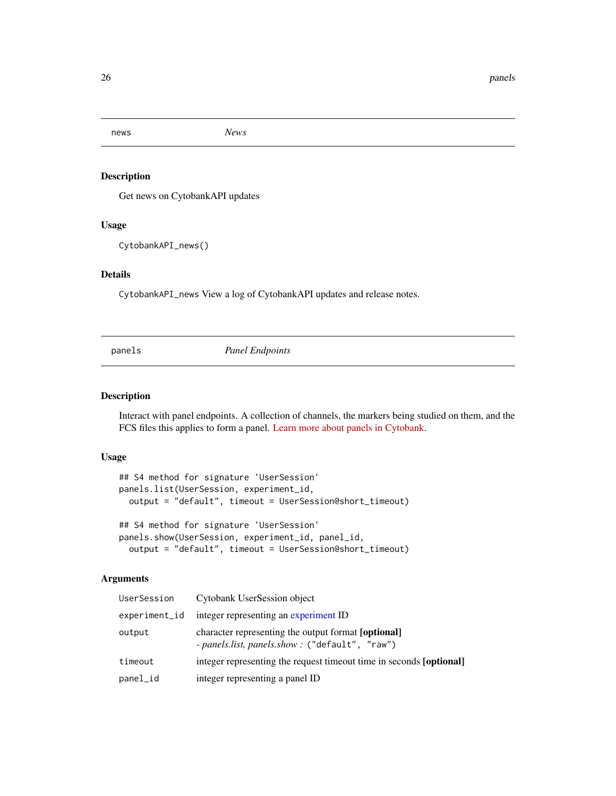<span id="page-25-0"></span>news *News*

#### Description

Get news on CytobankAPI updates

#### Usage

CytobankAPI\_news()

#### Details

CytobankAPI\_news View a log of CytobankAPI updates and release notes.

<span id="page-25-2"></span>

panels *Panel Endpoints*

#### <span id="page-25-1"></span>Description

Interact with panel endpoints. A collection of channels, the markers being studied on them, and the FCS files this applies to form a panel. [Learn more about panels in Cytobank.](https://support.cytobank.org/hc/en-us/articles/206148227-Overview-of-working-with-panels-and-channels)

#### Usage

```
## S4 method for signature 'UserSession'
panels.list(UserSession, experiment_id,
 output = "default", timeout = UserSession@short_timeout)
## S4 method for signature 'UserSession'
panels.show(UserSession, experiment_id, panel_id,
  output = "default", timeout = UserSession@short_timeout)
```
#### Arguments

| UserSession   | Cytobank UserSession object                                                                           |
|---------------|-------------------------------------------------------------------------------------------------------|
| experiment_id | integer representing an experiment ID                                                                 |
| output        | character representing the output format [optional]<br>- panels.list, panels.show: ("default", "raw") |
| timeout       | integer representing the request time out time in seconds [optional]                                  |
| panel_id      | integer representing a panel ID                                                                       |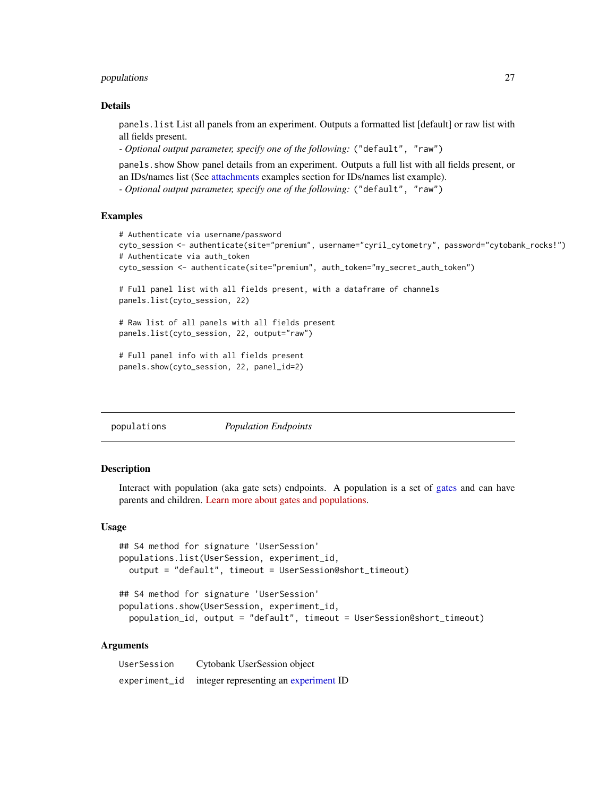#### <span id="page-26-0"></span>populations 27

#### Details

panels.list List all panels from an experiment. Outputs a formatted list [default] or raw list with all fields present.

*- Optional output parameter, specify one of the following:* ("default", "raw")

panels.show Show panel details from an experiment. Outputs a full list with all fields present, or an IDs/names list (See [attachments](#page-2-1) examples section for IDs/names list example).

```
- Optional output parameter, specify one of the following: ("default", "raw")
```
#### Examples

```
# Authenticate via username/password
cyto_session <- authenticate(site="premium", username="cyril_cytometry", password="cytobank_rocks!")
# Authenticate via auth_token
cyto_session <- authenticate(site="premium", auth_token="my_secret_auth_token")
# Full panel list with all fields present, with a dataframe of channels
panels.list(cyto_session, 22)
# Raw list of all panels with all fields present
panels.list(cyto_session, 22, output="raw")
# Full panel info with all fields present
panels.show(cyto_session, 22, panel_id=2)
```
<span id="page-26-2"></span>populations *Population Endpoints*

#### <span id="page-26-1"></span>Description

Interact with population (aka gate sets) endpoints. A population is a set of [gates](#page-22-1) and can have parents and children. [Learn more about gates and populations.](https://support.cytobank.org/hc/en-us/articles/204765578-The-Difference-Between-a-Gate-and-a-Population-Using-the-Population-Manager-and-considerations-for-deleting-and-renaming-gates)

#### Usage

```
## S4 method for signature 'UserSession'
populations.list(UserSession, experiment_id,
 output = "default", timeout = UserSession@short_timeout)
## S4 method for signature 'UserSession'
populations.show(UserSession, experiment_id,
 population_id, output = "default", timeout = UserSession@short_timeout)
```
#### Arguments

| UserSession | Cytobank UserSession object                         |
|-------------|-----------------------------------------------------|
|             | experiment_id integer representing an experiment ID |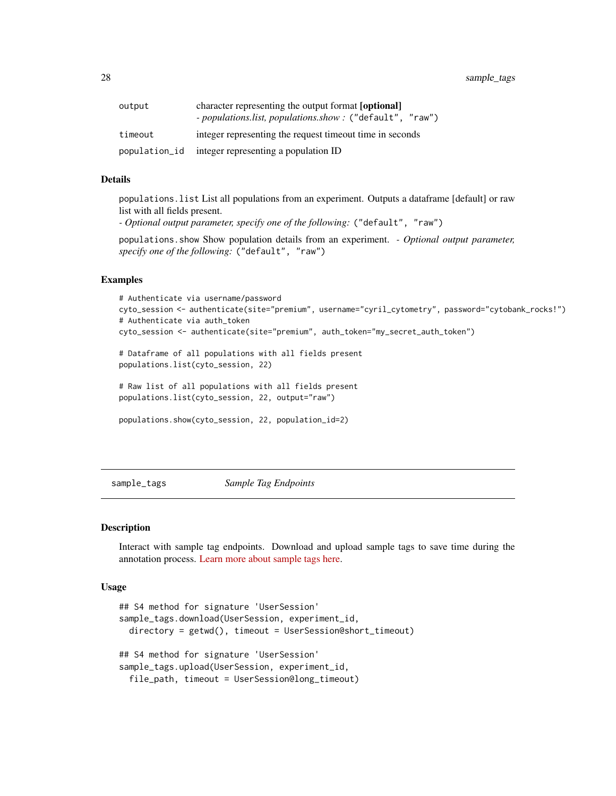<span id="page-27-0"></span>28 sample\_tags

| output        | character representing the output format [optional]<br>- populations.list, populations.show: ("default", "raw") |
|---------------|-----------------------------------------------------------------------------------------------------------------|
| timeout       | integer representing the request time out time in seconds                                                       |
| population_id | integer representing a population ID                                                                            |

#### Details

populations.list List all populations from an experiment. Outputs a dataframe [default] or raw list with all fields present.

*- Optional output parameter, specify one of the following:* ("default", "raw")

populations.show Show population details from an experiment. *- Optional output parameter, specify one of the following:* ("default", "raw")

#### Examples

```
# Authenticate via username/password
cyto_session <- authenticate(site="premium", username="cyril_cytometry", password="cytobank_rocks!")
# Authenticate via auth_token
cyto_session <- authenticate(site="premium", auth_token="my_secret_auth_token")
# Dataframe of all populations with all fields present
populations.list(cyto_session, 22)
# Raw list of all populations with all fields present
populations.list(cyto_session, 22, output="raw")
populations.show(cyto_session, 22, population_id=2)
```
sample\_tags *Sample Tag Endpoints*

#### Description

Interact with sample tag endpoints. Download and upload sample tags to save time during the annotation process. [Learn more about sample tags here.](https://support.cytobank.org/hc/en-us/articles/206148017-Overview-of-Sample-Tags-annotating-scientific-and-experimental-variables-in-Cytobank)

#### Usage

```
## S4 method for signature 'UserSession'
sample_tags.download(UserSession, experiment_id,
 directory = getwd(), timeout = UserSession@short_timeout)
## S4 method for signature 'UserSession'
sample_tags.upload(UserSession, experiment_id,
 file_path, timeout = UserSession@long_timeout)
```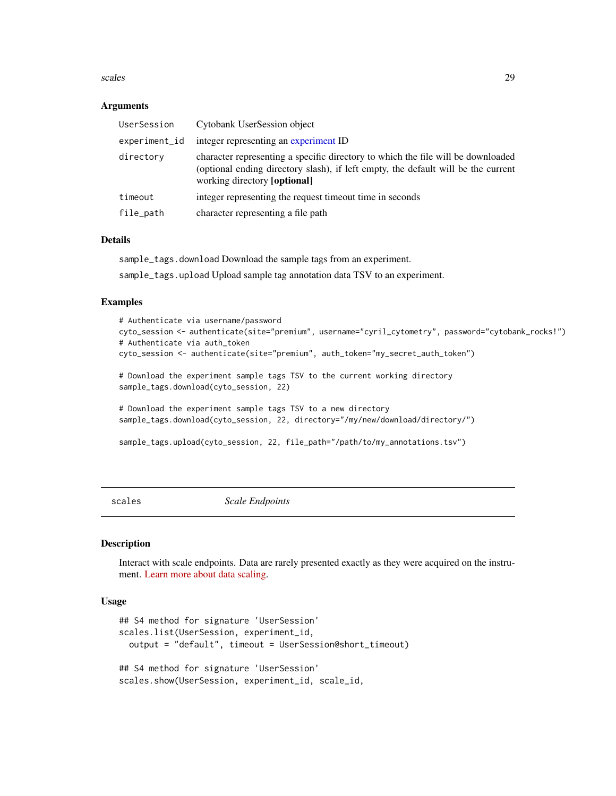#### <span id="page-28-0"></span>scales 29

#### **Arguments**

| UserSession   | Cytobank UserSession object                                                                                                                                                                           |
|---------------|-------------------------------------------------------------------------------------------------------------------------------------------------------------------------------------------------------|
| experiment_id | integer representing an experiment ID                                                                                                                                                                 |
| directory     | character representing a specific directory to which the file will be downloaded<br>(optional ending directory slash), if left empty, the default will be the current<br>working directory [optional] |
| timeout       | integer representing the request time out time in seconds                                                                                                                                             |
| file_path     | character representing a file path                                                                                                                                                                    |

#### Details

sample\_tags.download Download the sample tags from an experiment.

sample\_tags.upload Upload sample tag annotation data TSV to an experiment.

#### Examples

```
# Authenticate via username/password
cyto_session <- authenticate(site="premium", username="cyril_cytometry", password="cytobank_rocks!")
# Authenticate via auth_token
cyto_session <- authenticate(site="premium", auth_token="my_secret_auth_token")
# Download the experiment sample tags TSV to the current working directory
sample_tags.download(cyto_session, 22)
# Download the experiment sample tags TSV to a new directory
sample_tags.download(cyto_session, 22, directory="/my/new/download/directory/")
sample_tags.upload(cyto_session, 22, file_path="/path/to/my_annotations.tsv")
```
<span id="page-28-1"></span>scales *Scale Endpoints*

#### **Description**

Interact with scale endpoints. Data are rarely presented exactly as they were acquired on the instrument. [Learn more about data scaling.](https://support.cytobank.org/hc/en-us/categories/200260637-Data-Scaling-and-Transformation)

#### Usage

```
## S4 method for signature 'UserSession'
scales.list(UserSession, experiment_id,
 output = "default", timeout = UserSession@short_timeout)
## S4 method for signature 'UserSession'
scales.show(UserSession, experiment_id, scale_id,
```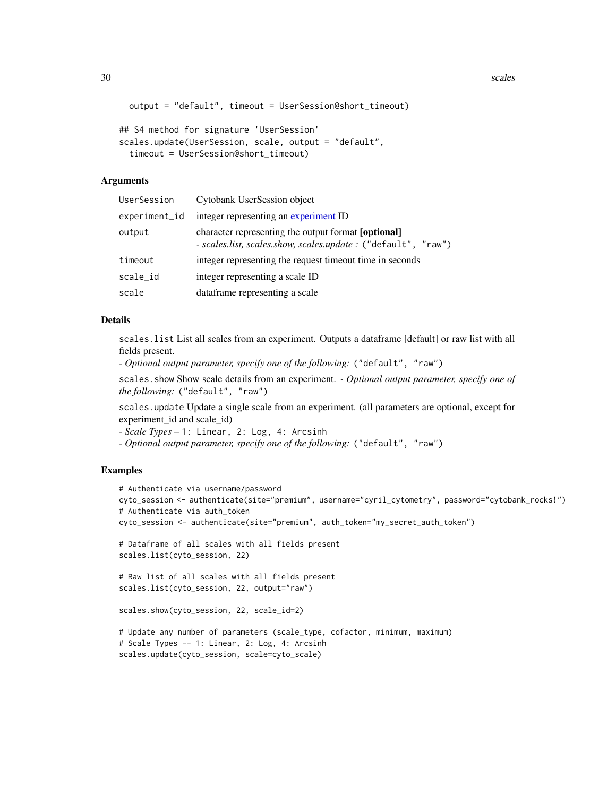<span id="page-29-0"></span>30 scales and the set of the set of the set of the set of the set of the set of the set of the set of the set of the set of the set of the set of the set of the set of the set of the set of the set of the set of the set of

```
output = "default", timeout = UserSession@short_timeout)
## S4 method for signature 'UserSession'
scales.update(UserSession, scale, output = "default",
  timeout = UserSession@short_timeout)
```
#### Arguments

| UserSession   | Cytobank UserSession object                                                                                          |
|---------------|----------------------------------------------------------------------------------------------------------------------|
| experiment_id | integer representing an experiment ID                                                                                |
| output        | character representing the output format [optional]<br>- scales.list, scales.show, scales.update: ("default", "raw") |
| timeout       | integer representing the request time out time in seconds                                                            |
| scale_id      | integer representing a scale ID                                                                                      |
| scale         | dataframe representing a scale                                                                                       |
|               |                                                                                                                      |

#### Details

scales.list List all scales from an experiment. Outputs a dataframe [default] or raw list with all fields present.

```
- Optional output parameter, specify one of the following: ("default", "raw")
```
scales.show Show scale details from an experiment. *- Optional output parameter, specify one of the following:* ("default", "raw")

scales.update Update a single scale from an experiment. (all parameters are optional, except for experiment\_id and scale\_id)

```
- Scale Types – 1: Linear, 2: Log, 4: Arcsinh
```

```
- Optional output parameter, specify one of the following: ("default", "raw")
```
#### Examples

```
# Authenticate via username/password
cyto_session <- authenticate(site="premium", username="cyril_cytometry", password="cytobank_rocks!")
# Authenticate via auth_token
cyto_session <- authenticate(site="premium", auth_token="my_secret_auth_token")
# Dataframe of all scales with all fields present
scales.list(cyto_session, 22)
# Raw list of all scales with all fields present
scales.list(cyto_session, 22, output="raw")
scales.show(cyto_session, 22, scale_id=2)
# Update any number of parameters (scale_type, cofactor, minimum, maximum)
# Scale Types -- 1: Linear, 2: Log, 4: Arcsinh
scales.update(cyto_session, scale=cyto_scale)
```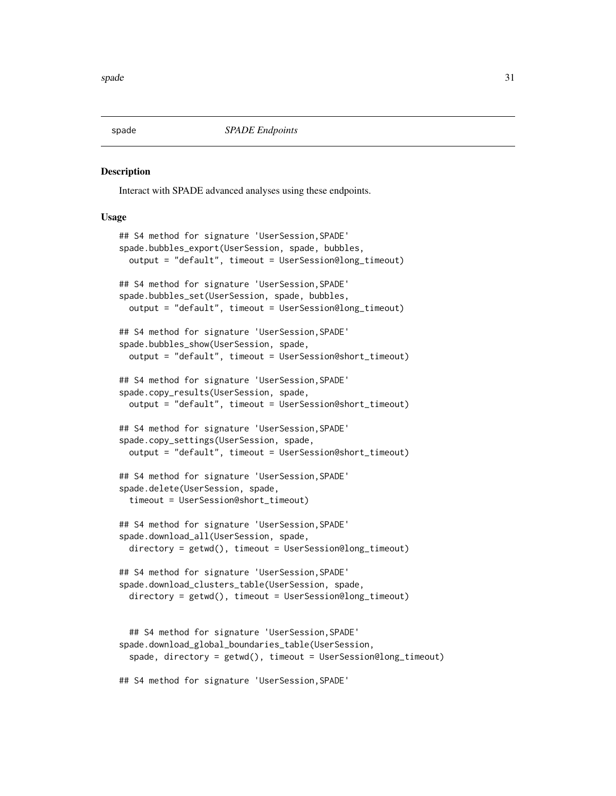<span id="page-30-2"></span><span id="page-30-0"></span>

#### <span id="page-30-1"></span>Description

Interact with SPADE advanced analyses using these endpoints.

#### Usage

```
## S4 method for signature 'UserSession,SPADE'
spade.bubbles_export(UserSession, spade, bubbles,
 output = "default", timeout = UserSession@long_timeout)
## S4 method for signature 'UserSession,SPADE'
spade.bubbles_set(UserSession, spade, bubbles,
 output = "default", timeout = UserSession@long_timeout)
## S4 method for signature 'UserSession,SPADE'
spade.bubbles_show(UserSession, spade,
 output = "default", timeout = UserSession@short_timeout)
## S4 method for signature 'UserSession,SPADE'
spade.copy_results(UserSession, spade,
 output = "default", timeout = UserSession@short_timeout)
## S4 method for signature 'UserSession,SPADE'
spade.copy_settings(UserSession, spade,
 output = "default", timeout = UserSession@short_timeout)
## S4 method for signature 'UserSession,SPADE'
spade.delete(UserSession, spade,
 timeout = UserSession@short_timeout)
## S4 method for signature 'UserSession,SPADE'
spade.download_all(UserSession, spade,
 directory = getwd(), timeout = UserSession@long_timeout)
## S4 method for signature 'UserSession,SPADE'
spade.download_clusters_table(UserSession, spade,
 directory = getwd(), timeout = UserSession@long_timeout)
 ## S4 method for signature 'UserSession,SPADE'
spade.download_global_boundaries_table(UserSession,
 spade, directory = getwd(), timeout = UserSession@long_timeout)
```
## S4 method for signature 'UserSession,SPADE'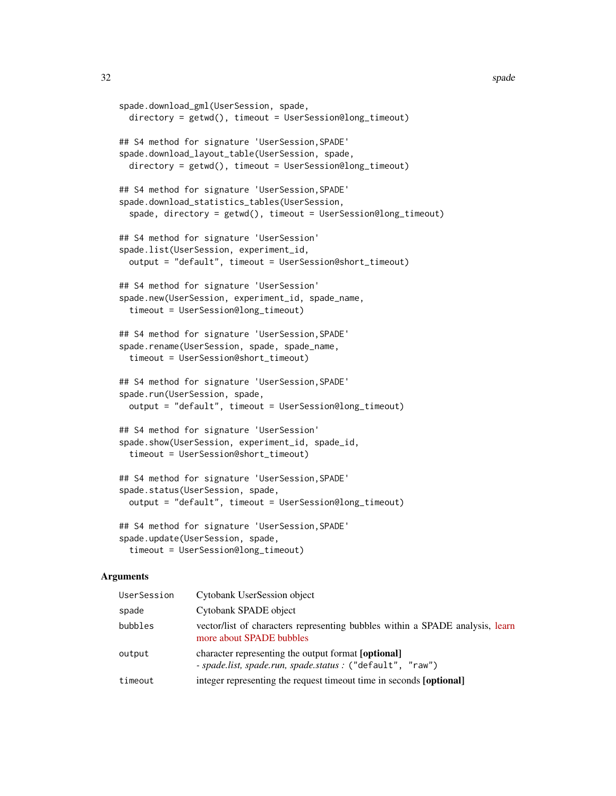```
spade.download_gml(UserSession, spade,
  directory = getwd(), timeout = UserSession@long_timeout)
## S4 method for signature 'UserSession,SPADE'
spade.download_layout_table(UserSession, spade,
  directory = getwd(), timeout = UserSession@long_timeout)
## S4 method for signature 'UserSession,SPADE'
spade.download_statistics_tables(UserSession,
  spade, directory = getwd(), timeout = UserSession@long_timeout)
## S4 method for signature 'UserSession'
spade.list(UserSession, experiment_id,
 output = "default", timeout = UserSession@short_timeout)
## S4 method for signature 'UserSession'
spade.new(UserSession, experiment_id, spade_name,
  timeout = UserSession@long_timeout)
## S4 method for signature 'UserSession,SPADE'
spade.rename(UserSession, spade, spade_name,
  timeout = UserSession@short_timeout)
## S4 method for signature 'UserSession,SPADE'
spade.run(UserSession, spade,
 output = "default", timeout = UserSession@long_timeout)
## S4 method for signature 'UserSession'
spade.show(UserSession, experiment_id, spade_id,
  timeout = UserSession@short_timeout)
## S4 method for signature 'UserSession,SPADE'
spade.status(UserSession, spade,
  output = "default", timeout = UserSession@long_timeout)
## S4 method for signature 'UserSession,SPADE'
spade.update(UserSession, spade,
  timeout = UserSession@long_timeout)
```
#### Arguments

| UserSession | Cytobank UserSession object                                                                                       |
|-------------|-------------------------------------------------------------------------------------------------------------------|
| spade       | Cytobank SPADE object                                                                                             |
| bubbles     | vector/list of characters representing bubbles within a SPADE analysis, learn<br>more about SPADE bubbles         |
| output      | character representing the output format [optional]<br>- spade.list, spade.run, spade.status : ("default", "raw") |
| timeout     | integer representing the request timeout time in seconds [optional]                                               |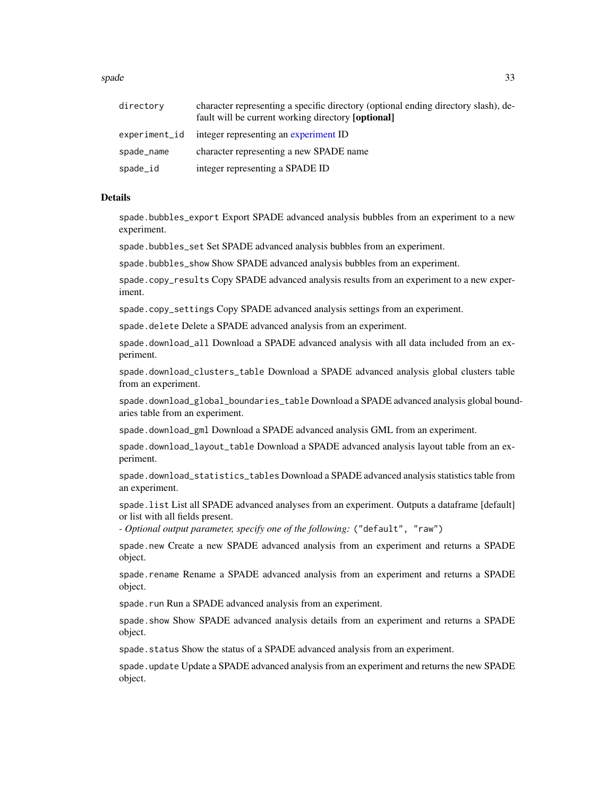<span id="page-32-0"></span>spade 33

| directory     | character representing a specific directory (optional ending directory slash), de-<br>fault will be current working directory <b>[optional]</b> |
|---------------|-------------------------------------------------------------------------------------------------------------------------------------------------|
| experiment_id | integer representing an experiment ID                                                                                                           |
| spade_name    | character representing a new SPADE name                                                                                                         |
| spade_id      | integer representing a SPADE ID                                                                                                                 |

#### **Details**

spade.bubbles\_export Export SPADE advanced analysis bubbles from an experiment to a new experiment.

spade.bubbles\_set Set SPADE advanced analysis bubbles from an experiment.

spade.bubbles\_show Show SPADE advanced analysis bubbles from an experiment.

spade.copy\_results Copy SPADE advanced analysis results from an experiment to a new experiment.

spade.copy\_settings Copy SPADE advanced analysis settings from an experiment.

spade.delete Delete a SPADE advanced analysis from an experiment.

spade.download\_all Download a SPADE advanced analysis with all data included from an experiment.

spade.download\_clusters\_table Download a SPADE advanced analysis global clusters table from an experiment.

spade.download\_global\_boundaries\_table Download a SPADE advanced analysis global boundaries table from an experiment.

spade.download\_gml Download a SPADE advanced analysis GML from an experiment.

spade.download\_layout\_table Download a SPADE advanced analysis layout table from an experiment.

spade.download\_statistics\_tables Download a SPADE advanced analysis statistics table from an experiment.

spade.list List all SPADE advanced analyses from an experiment. Outputs a dataframe [default] or list with all fields present.

*- Optional output parameter, specify one of the following:* ("default", "raw")

spade.new Create a new SPADE advanced analysis from an experiment and returns a SPADE object.

spade.rename Rename a SPADE advanced analysis from an experiment and returns a SPADE object.

spade.run Run a SPADE advanced analysis from an experiment.

spade.show Show SPADE advanced analysis details from an experiment and returns a SPADE object.

spade. status Show the status of a SPADE advanced analysis from an experiment.

spade.update Update a SPADE advanced analysis from an experiment and returns the new SPADE object.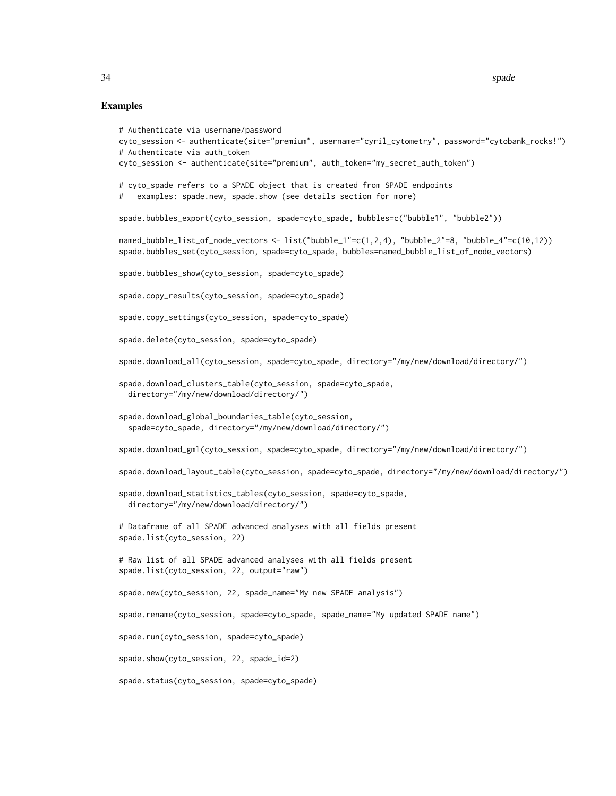34 spade

#### Examples

```
# Authenticate via username/password
cyto_session <- authenticate(site="premium", username="cyril_cytometry", password="cytobank_rocks!")
# Authenticate via auth_token
cyto_session <- authenticate(site="premium", auth_token="my_secret_auth_token")
# cyto_spade refers to a SPADE object that is created from SPADE endpoints
# examples: spade.new, spade.show (see details section for more)
spade.bubbles_export(cyto_session, spade=cyto_spade, bubbles=c("bubble1", "bubble2"))
named_bubble_list_of_node_vectors <- list("bubble_1"=c(1,2,4), "bubble_2"=8, "bubble_4"=c(10,12))
spade.bubbles_set(cyto_session, spade=cyto_spade, bubbles=named_bubble_list_of_node_vectors)
spade.bubbles_show(cyto_session, spade=cyto_spade)
spade.copy_results(cyto_session, spade=cyto_spade)
spade.copy_settings(cyto_session, spade=cyto_spade)
spade.delete(cyto_session, spade=cyto_spade)
spade.download_all(cyto_session, spade=cyto_spade, directory="/my/new/download/directory/")
spade.download_clusters_table(cyto_session, spade=cyto_spade,
 directory="/my/new/download/directory/")
spade.download_global_boundaries_table(cyto_session,
 spade=cyto_spade, directory="/my/new/download/directory/")
spade.download_gml(cyto_session, spade=cyto_spade, directory="/my/new/download/directory/")
spade.download_layout_table(cyto_session, spade=cyto_spade, directory="/my/new/download/directory/")
spade.download_statistics_tables(cyto_session, spade=cyto_spade,
 directory="/my/new/download/directory/")
# Dataframe of all SPADE advanced analyses with all fields present
spade.list(cyto_session, 22)
# Raw list of all SPADE advanced analyses with all fields present
spade.list(cyto_session, 22, output="raw")
spade.new(cyto_session, 22, spade_name="My new SPADE analysis")
spade.rename(cyto_session, spade=cyto_spade, spade_name="My updated SPADE name")
spade.run(cyto_session, spade=cyto_spade)
spade.show(cyto_session, 22, spade_id=2)
spade.status(cyto_session, spade=cyto_spade)
```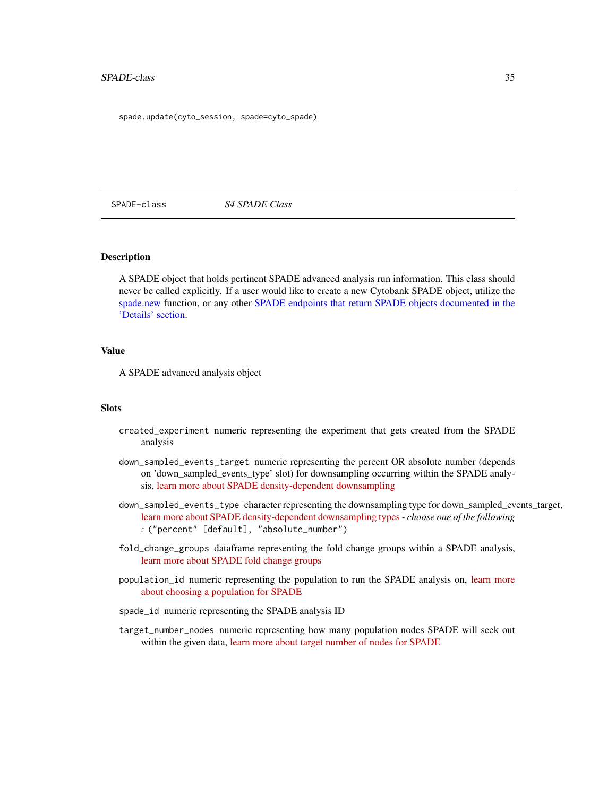#### <span id="page-34-0"></span>SPADE-class 35

spade.update(cyto\_session, spade=cyto\_spade)

SPADE-class *S4 SPADE Class*

#### **Description**

A SPADE object that holds pertinent SPADE advanced analysis run information. This class should never be called explicitly. If a user would like to create a new Cytobank SPADE object, utilize the [spade.new](#page-30-1) function, or any other [SPADE endpoints that return SPADE objects documented in the](#page-30-2) ['Details' section.](#page-30-2)

#### Value

A SPADE advanced analysis object

#### **Slots**

- created\_experiment numeric representing the experiment that gets created from the SPADE analysis
- down\_sampled\_events\_target numeric representing the percent OR absolute number (depends on 'down\_sampled\_events\_type' slot) for downsampling occurring within the SPADE analysis, [learn more about SPADE density-dependent downsampling](https://support.cytobank.org/hc/en-us/articles/115000597188-How-to-Configure-and-Run-a-SPADE-Analysis#Downsampling-Target)
- down\_sampled\_events\_type character representing the downsampling type for down\_sampled\_events\_target, [learn more about SPADE density-dependent downsampling types](https://support.cytobank.org/hc/en-us/articles/115000597188-How-to-Configure-and-Run-a-SPADE-Analysis#Downsampling-Target) *- choose one of the following :* ("percent" [default], "absolute\_number")
- fold\_change\_groups dataframe representing the fold change groups within a SPADE analysis, [learn more about SPADE fold change groups](https://support.cytobank.org/hc/en-us/articles/206145497-SPADE-with-fold-change-overview-setup-and-analysis)
- population\_id numeric representing the population to run the SPADE analysis on, [learn more](https://support.cytobank.org/hc/en-us/articles/115000597188-How-to-Configure-and-Run-a-SPADE-Analysis#Selecting-a-Population) [about choosing a population for SPADE](https://support.cytobank.org/hc/en-us/articles/115000597188-How-to-Configure-and-Run-a-SPADE-Analysis#Selecting-a-Population)

spade\_id numeric representing the SPADE analysis ID

target\_number\_nodes numeric representing how many population nodes SPADE will seek out within the given data, [learn more about target number of nodes for SPADE](https://support.cytobank.org/hc/en-us/articles/115000597188-How-to-Configure-and-Run-a-SPADE-Analysis#Target-Number-of-Nodes)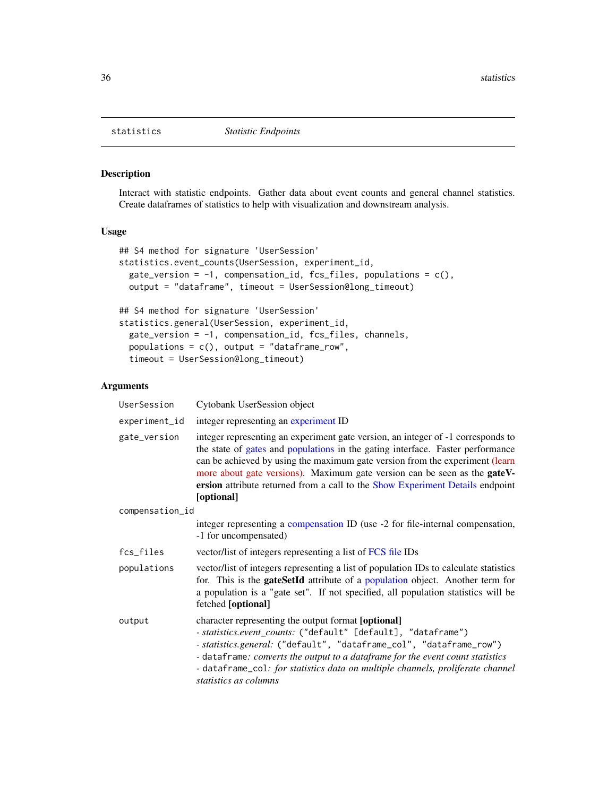<span id="page-35-0"></span>

#### Description

Interact with statistic endpoints. Gather data about event counts and general channel statistics. Create dataframes of statistics to help with visualization and downstream analysis.

### Usage

```
## S4 method for signature 'UserSession'
statistics.event_counts(UserSession, experiment_id,
  gate\_version = -1, compensation_id, fcs_files, populations = c(),
 output = "dataframe", timeout = UserSession@long_timeout)
## S4 method for signature 'UserSession'
statistics.general(UserSession, experiment_id,
  gate_version = -1, compensation_id, fcs_files, channels,
  populations = c(), output = "dataframe_row",
  timeout = UserSession@long_timeout)
```
#### Arguments

| UserSession     | Cytobank UserSession object                                                                                                                                                                                                                                                                                                                                                                                                            |
|-----------------|----------------------------------------------------------------------------------------------------------------------------------------------------------------------------------------------------------------------------------------------------------------------------------------------------------------------------------------------------------------------------------------------------------------------------------------|
| experiment_id   | integer representing an experiment ID                                                                                                                                                                                                                                                                                                                                                                                                  |
| gate_version    | integer representing an experiment gate version, an integer of -1 corresponds to<br>the state of gates and populations in the gating interface. Faster performance<br>can be achieved by using the maximum gate version from the experiment (learn<br>more about gate versions). Maximum gate version can be seen as the <b>gateV</b> -<br>ersion attribute returned from a call to the Show Experiment Details endpoint<br>[optional] |
| compensation_id |                                                                                                                                                                                                                                                                                                                                                                                                                                        |
|                 | integer representing a compensation ID (use -2 for file-internal compensation,<br>-1 for uncompensated)                                                                                                                                                                                                                                                                                                                                |
| fcs_files       | vector/list of integers representing a list of FCS file IDs                                                                                                                                                                                                                                                                                                                                                                            |
| populations     | vector/list of integers representing a list of population IDs to calculate statistics<br>for. This is the <b>gateSetId</b> attribute of a <b>population</b> object. Another term for<br>a population is a "gate set". If not specified, all population statistics will be<br>fetched [optional]                                                                                                                                        |
| output          | character representing the output format [optional]<br>- statistics.event_counts: ("default" [default], "dataframe")<br>- statistics.general: ("default", "dataframe_col", "dataframe_row")<br>- dataframe: converts the output to a dataframe for the event count statistics<br>- dataframe_col: for statistics data on multiple channels, proliferate channel<br>statistics as columns                                               |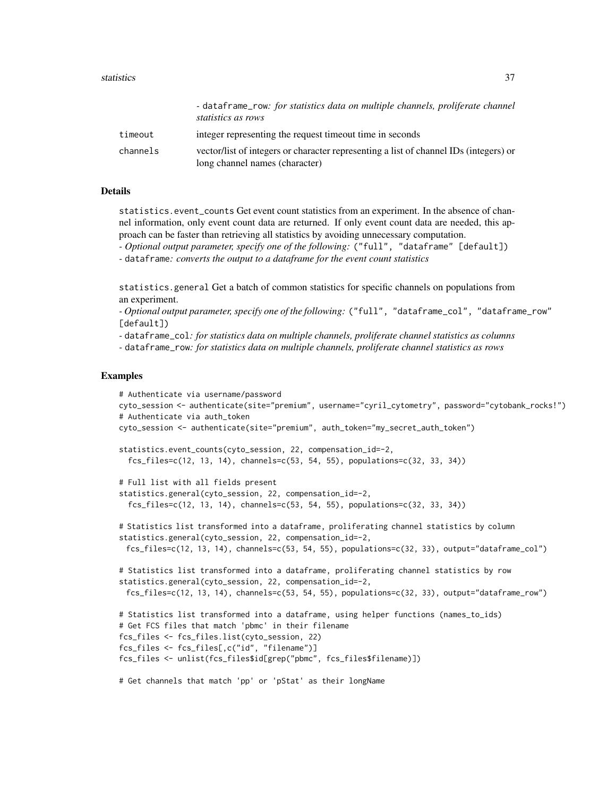#### statistics 37

|          | - dataframe_row: for statistics data on multiple channels, proliferate channel<br>statistics as rows                    |
|----------|-------------------------------------------------------------------------------------------------------------------------|
| timeout  | integer representing the request time time in seconds                                                                   |
| channels | vector/list of integers or character representing a list of channel IDs (integers) or<br>long channel names (character) |

#### Details

statistics.event\_counts Get event count statistics from an experiment. In the absence of channel information, only event count data are returned. If only event count data are needed, this approach can be faster than retrieving all statistics by avoiding unnecessary computation.

*- Optional output parameter, specify one of the following:* ("full", "dataframe" [default])

*-* dataframe*: converts the output to a dataframe for the event count statistics*

statistics.general Get a batch of common statistics for specific channels on populations from an experiment.

*- Optional output parameter, specify one of the following:* ("full", "dataframe\_col", "dataframe\_row" [default])

*-* dataframe\_col*: for statistics data on multiple channels, proliferate channel statistics as columns*

*-* dataframe\_row*: for statistics data on multiple channels, proliferate channel statistics as rows*

#### Examples

```
# Authenticate via username/password
cyto_session <- authenticate(site="premium", username="cyril_cytometry", password="cytobank_rocks!")
# Authenticate via auth_token
cyto_session <- authenticate(site="premium", auth_token="my_secret_auth_token")
statistics.event_counts(cyto_session, 22, compensation_id=-2,
 fcs_files=c(12, 13, 14), channels=c(53, 54, 55), populations=c(32, 33, 34))
# Full list with all fields present
statistics.general(cyto_session, 22, compensation_id=-2,
 fcs_files=c(12, 13, 14), channels=c(53, 54, 55), populations=c(32, 33, 34))
# Statistics list transformed into a dataframe, proliferating channel statistics by column
statistics.general(cyto_session, 22, compensation_id=-2,
 fcs_files = c(12, 13, 14), channels=c(53, 54, 55), populations=c(32, 33), output="dataframe_col")
# Statistics list transformed into a dataframe, proliferating channel statistics by row
statistics.general(cyto_session, 22, compensation_id=-2,
 fcs_files=c(12, 13, 14), channels=c(53, 54, 55), populations=c(32, 33), output="dataframe_row")
# Statistics list transformed into a dataframe, using helper functions (names_to_ids)
# Get FCS files that match 'pbmc' in their filename
fcs_files <- fcs_files.list(cyto_session, 22)
fcs_files <- fcs_files[,c("id", "filename")]
fcs_files <- unlist(fcs_files$id[grep("pbmc", fcs_files$filename)])
# Get channels that match 'pp' or 'pStat' as their longName
```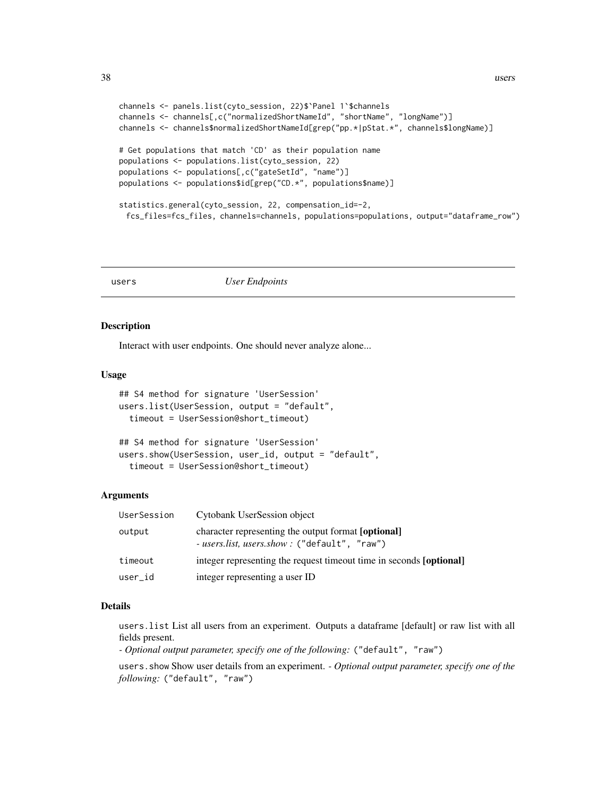```
channels <- panels.list(cyto_session, 22)$`Panel 1`$channels
channels <- channels[,c("normalizedShortNameId", "shortName", "longName")]
channels <- channels$normalizedShortNameId[grep("pp.*|pStat.*", channels$longName)]
# Get populations that match 'CD' as their population name
populations <- populations.list(cyto_session, 22)
populations <- populations[,c("gateSetId", "name")]
populations <- populations$id[grep("CD.*", populations$name)]
statistics.general(cyto_session, 22, compensation_id=-2,
 fcs_files=fcs_files, channels=channels, populations=populations, output="dataframe_row")
```
users *User Endpoints*

#### Description

Interact with user endpoints. One should never analyze alone...

#### Usage

```
## S4 method for signature 'UserSession'
users.list(UserSession, output = "default",
  timeout = UserSession@short_timeout)
```

```
## S4 method for signature 'UserSession'
users.show(UserSession, user_id, output = "default",
  timeout = UserSession@short_timeout)
```
#### Arguments

| UserSession | Cytobank UserSession object                                                                                |
|-------------|------------------------------------------------------------------------------------------------------------|
| output      | character representing the output format <b>[optional]</b><br>- users.list. users.show: ("default", "raw") |
| timeout     | integer representing the request time out time in seconds [optional]                                       |
| user_id     | integer representing a user ID                                                                             |

#### Details

users.list List all users from an experiment. Outputs a dataframe [default] or raw list with all fields present.

*- Optional output parameter, specify one of the following:* ("default", "raw")

users.show Show user details from an experiment. *- Optional output parameter, specify one of the following:* ("default", "raw")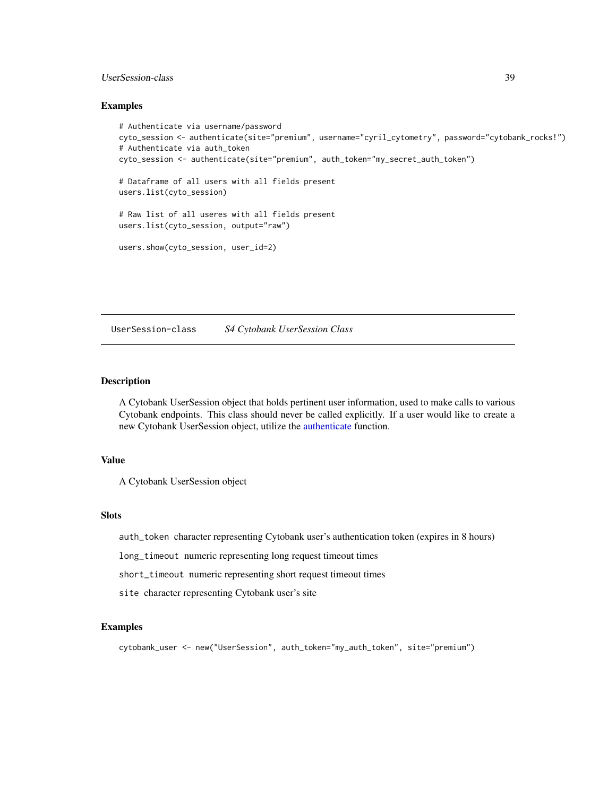#### <span id="page-38-0"></span>UserSession-class 39

#### Examples

```
# Authenticate via username/password
cyto_session <- authenticate(site="premium", username="cyril_cytometry", password="cytobank_rocks!")
# Authenticate via auth_token
cyto_session <- authenticate(site="premium", auth_token="my_secret_auth_token")
# Dataframe of all users with all fields present
users.list(cyto_session)
# Raw list of all useres with all fields present
users.list(cyto_session, output="raw")
users.show(cyto_session, user_id=2)
```
UserSession-class *S4 Cytobank UserSession Class*

#### Description

A Cytobank UserSession object that holds pertinent user information, used to make calls to various Cytobank endpoints. This class should never be called explicitly. If a user would like to create a new Cytobank UserSession object, utilize the [authenticate](#page-4-1) function.

#### Value

A Cytobank UserSession object

#### Slots

auth\_token character representing Cytobank user's authentication token (expires in 8 hours)

long\_timeout numeric representing long request timeout times

short\_timeout numeric representing short request timeout times

site character representing Cytobank user's site

#### Examples

cytobank\_user <- new("UserSession", auth\_token="my\_auth\_token", site="premium")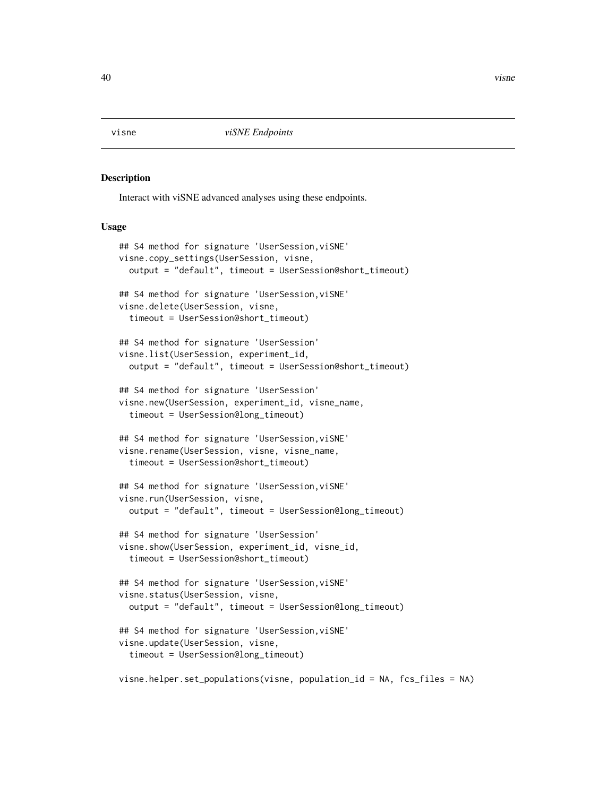<span id="page-39-2"></span><span id="page-39-0"></span>

#### <span id="page-39-1"></span>Description

Interact with viSNE advanced analyses using these endpoints.

#### Usage

```
## S4 method for signature 'UserSession,viSNE'
visne.copy_settings(UserSession, visne,
  output = "default", timeout = UserSession@short_timeout)
## S4 method for signature 'UserSession,viSNE'
visne.delete(UserSession, visne,
  timeout = UserSession@short_timeout)
## S4 method for signature 'UserSession'
visne.list(UserSession, experiment_id,
  output = "default", timeout = UserSession@short_timeout)
## S4 method for signature 'UserSession'
visne.new(UserSession, experiment_id, visne_name,
  timeout = UserSession@long_timeout)
## S4 method for signature 'UserSession,viSNE'
visne.rename(UserSession, visne, visne_name,
  timeout = UserSession@short_timeout)
## S4 method for signature 'UserSession,viSNE'
visne.run(UserSession, visne,
  output = "default", timeout = UserSession@long_timeout)
## S4 method for signature 'UserSession'
visne.show(UserSession, experiment_id, visne_id,
  timeout = UserSession@short_timeout)
## S4 method for signature 'UserSession,viSNE'
visne.status(UserSession, visne,
  output = "default", timeout = UserSession@long_timeout)
## S4 method for signature 'UserSession,viSNE'
visne.update(UserSession, visne,
  timeout = UserSession@long_timeout)
```
visne.helper.set\_populations(visne, population\_id = NA, fcs\_files = NA)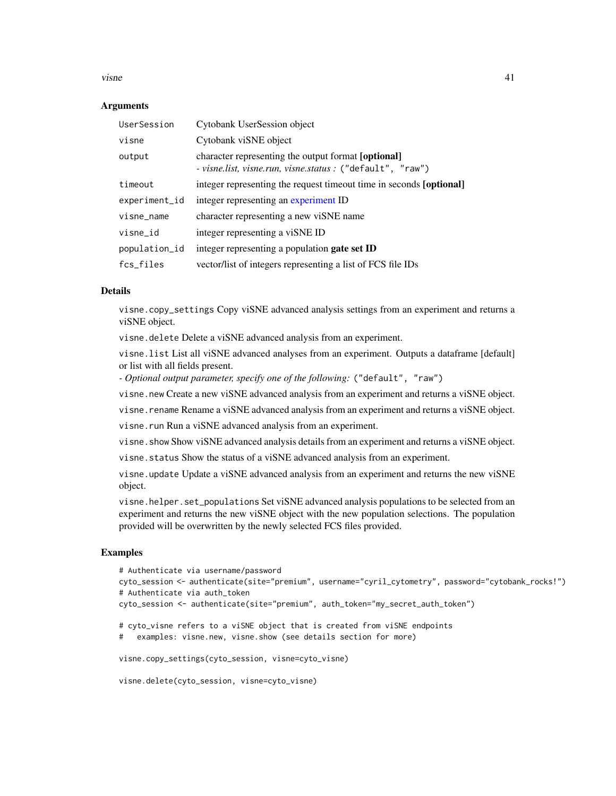<span id="page-40-0"></span>visne and the set of the set of the set of the set of the set of the set of the set of the set of the set of the set of the set of the set of the set of the set of the set of the set of the set of the set of the set of the

#### **Arguments**

| UserSession   | Cytobank UserSession object                                                                                       |
|---------------|-------------------------------------------------------------------------------------------------------------------|
| visne         | Cytobank viSNE object                                                                                             |
| output        | character representing the output format [optional]<br>- visne.list, visne.run, visne.status : ("default", "raw") |
| timeout       | integer representing the request time in seconds [optional]                                                       |
| experiment_id | integer representing an experiment ID                                                                             |
| visne_name    | character representing a new viSNE name                                                                           |
| visne_id      | integer representing a viSNE ID                                                                                   |
| population_id | integer representing a population <b>gate set ID</b>                                                              |
| fcs_files     | vector/list of integers representing a list of FCS file IDs                                                       |

#### Details

visne.copy\_settings Copy viSNE advanced analysis settings from an experiment and returns a viSNE object.

visne.delete Delete a viSNE advanced analysis from an experiment.

visne.list List all viSNE advanced analyses from an experiment. Outputs a dataframe [default] or list with all fields present.

*- Optional output parameter, specify one of the following:* ("default", "raw")

visne.new Create a new viSNE advanced analysis from an experiment and returns a viSNE object.

visne.rename Rename a viSNE advanced analysis from an experiment and returns a viSNE object.

visne.run Run a viSNE advanced analysis from an experiment.

visne.show Show viSNE advanced analysis details from an experiment and returns a viSNE object.

visne.status Show the status of a viSNE advanced analysis from an experiment.

visne.update Update a viSNE advanced analysis from an experiment and returns the new viSNE object.

visne.helper.set\_populations Set viSNE advanced analysis populations to be selected from an experiment and returns the new viSNE object with the new population selections. The population provided will be overwritten by the newly selected FCS files provided.

#### Examples

```
# Authenticate via username/password
cyto_session <- authenticate(site="premium", username="cyril_cytometry", password="cytobank_rocks!")
# Authenticate via auth_token
cyto_session <- authenticate(site="premium", auth_token="my_secret_auth_token")
# cyto_visne refers to a viSNE object that is created from viSNE endpoints
# examples: visne.new, visne.show (see details section for more)
visne.copy_settings(cyto_session, visne=cyto_visne)
visne.delete(cyto_session, visne=cyto_visne)
```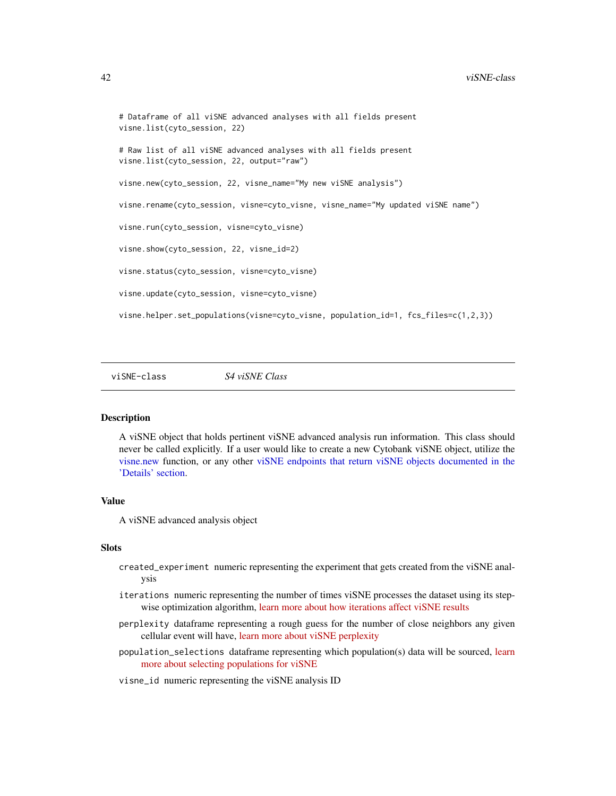```
# Dataframe of all viSNE advanced analyses with all fields present
visne.list(cyto_session, 22)
# Raw list of all viSNE advanced analyses with all fields present
visne.list(cyto_session, 22, output="raw")
visne.new(cyto_session, 22, visne_name="My new viSNE analysis")
visne.rename(cyto_session, visne=cyto_visne, visne_name="My updated viSNE name")
visne.run(cyto_session, visne=cyto_visne)
visne.show(cyto_session, 22, visne_id=2)
visne.status(cyto_session, visne=cyto_visne)
visne.update(cyto_session, visne=cyto_visne)
visne.helper.set_populations(visne=cyto_visne, population_id=1, fcs_files=c(1,2,3))
```
viSNE-class *S4 viSNE Class*

#### Description

A viSNE object that holds pertinent viSNE advanced analysis run information. This class should never be called explicitly. If a user would like to create a new Cytobank viSNE object, utilize the [visne.new](#page-39-1) function, or any other [viSNE endpoints that return viSNE objects documented in the](#page-39-2) ['Details' section.](#page-39-2)

#### Value

A viSNE advanced analysis object

#### **Slots**

- created\_experiment numeric representing the experiment that gets created from the viSNE analysis
- iterations numeric representing the number of times viSNE processes the dataset using its stepwise optimization algorithm, [learn more about how iterations affect viSNE results](https://support.cytobank.org/hc/en-us/articles/206439707-How-to-Configure-and-Run-a-viSNE-Analysis#iterations)
- perplexity dataframe representing a rough guess for the number of close neighbors any given cellular event will have, [learn more about viSNE perplexity](https://support.cytobank.org/hc/en-us/articles/206439707-How-to-Configure-and-Run-a-viSNE-Analysis#perplexity)
- population\_selections dataframe representing which population(s) data will be sourced, [learn](https://support.cytobank.org/hc/en-us/articles/206439707-How-to-Configure-and-Run-a-viSNE-Analysis#populations) [more about selecting populations for viSNE](https://support.cytobank.org/hc/en-us/articles/206439707-How-to-Configure-and-Run-a-viSNE-Analysis#populations)

visne\_id numeric representing the viSNE analysis ID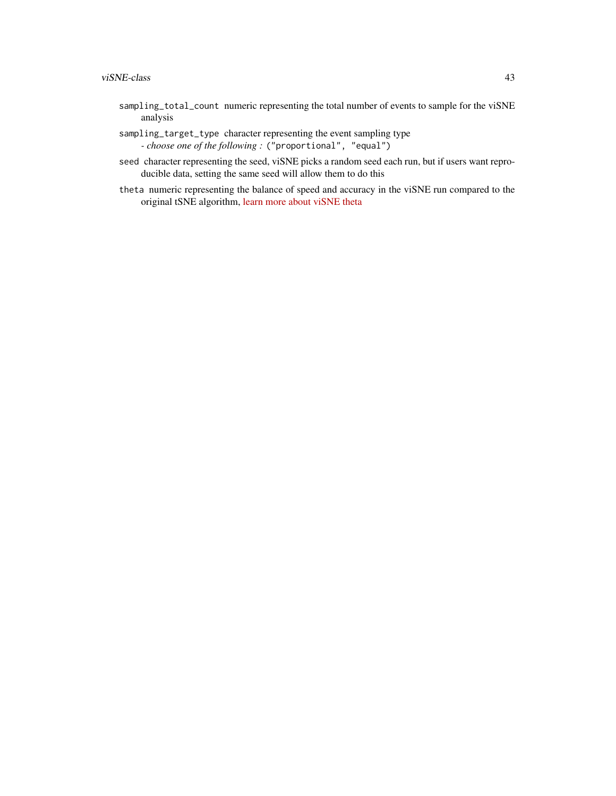- sampling\_total\_count numeric representing the total number of events to sample for the viSNE analysis
- sampling\_target\_type character representing the event sampling type *- choose one of the following :* ("proportional", "equal")
- seed character representing the seed, viSNE picks a random seed each run, but if users want reproducible data, setting the same seed will allow them to do this
- theta numeric representing the balance of speed and accuracy in the viSNE run compared to the original tSNE algorithm, [learn more about viSNE theta](https://support.cytobank.org/hc/en-us/articles/206439707-How-to-Configure-and-Run-a-viSNE-Analysis#theta)